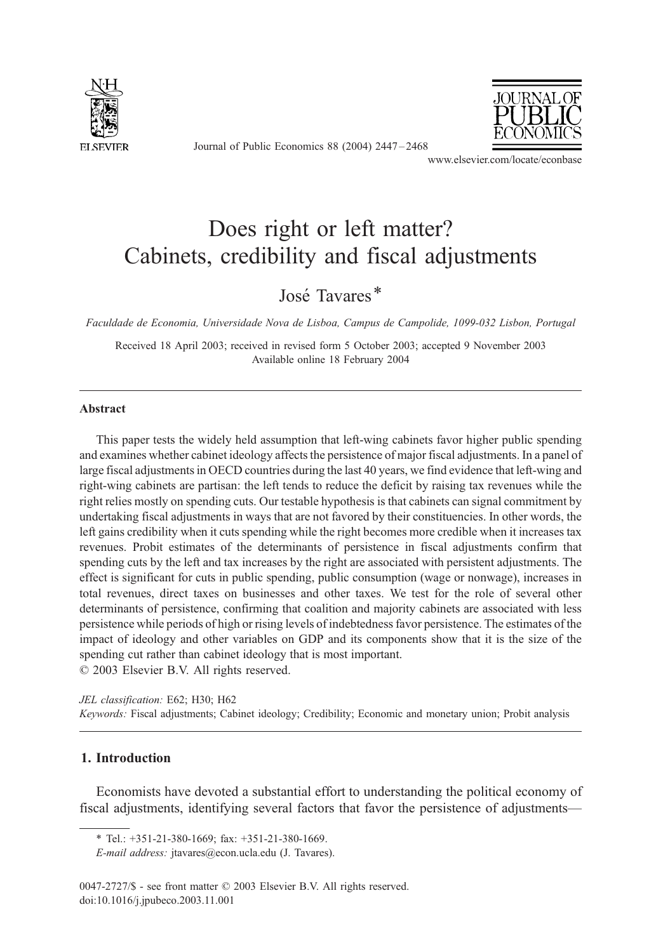

Journal of Public Economics 88 (2004) 2447 – 2468



www.elsevier.com/locate/econbase

# Does right or left matter? Cabinets, credibility and fiscal adjustments

José Tavares<sup>\*</sup>

Faculdade de Economia, Universidade Nova de Lisboa, Campus de Campolide, 1099-032 Lisbon, Portugal

Received 18 April 2003; received in revised form 5 October 2003; accepted 9 November 2003 Available online 18 February 2004

# Abstract

This paper tests the widely held assumption that left-wing cabinets favor higher public spending and examines whether cabinet ideology affects the persistence of major fiscal adjustments. In a panel of large fiscal adjustments in OECD countries during the last 40 years, we find evidence that left-wing and right-wing cabinets are partisan: the left tends to reduce the deficit by raising tax revenues while the right relies mostly on spending cuts. Our testable hypothesis is that cabinets can signal commitment by undertaking fiscal adjustments in ways that are not favored by their constituencies. In other words, the left gains credibility when it cuts spending while the right becomes more credible when it increases tax revenues. Probit estimates of the determinants of persistence in fiscal adjustments confirm that spending cuts by the left and tax increases by the right are associated with persistent adjustments. The effect is significant for cuts in public spending, public consumption (wage or nonwage), increases in total revenues, direct taxes on businesses and other taxes. We test for the role of several other determinants of persistence, confirming that coalition and majority cabinets are associated with less persistence while periods of high or rising levels of indebtedness favor persistence. The estimates of the impact of ideology and other variables on GDP and its components show that it is the size of the spending cut rather than cabinet ideology that is most important.  $\odot$  2003 Elsevier B.V. All rights reserved.

JEL classification: E62; H30; H62

Keywords: Fiscal adjustments; Cabinet ideology; Credibility; Economic and monetary union; Probit analysis

# 1. Introduction

Economists have devoted a substantial effort to understanding the political economy of fiscal adjustments, identifying several factors that favor the persistence of adjustments—

<sup>\*</sup> Tel.: +351-21-380-1669; fax: +351-21-380-1669.

E-mail address: jtavares@econ.ucla.edu (J. Tavares).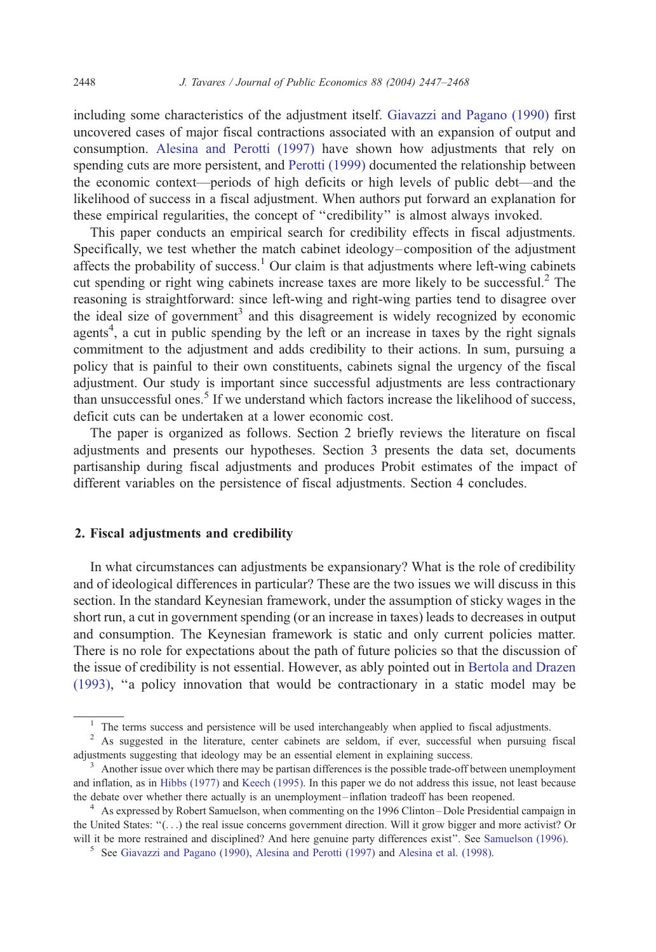including some characteristics of the adjustment itself. [Giavazzi and Pagano \(1990\)](#page-20-0) first uncovered cases of major fiscal contractions associated with an expansion of output and consumption. [Alesina and Perotti \(1997\)](#page-19-0) have shown how adjustments that rely on spending cuts are more persistent, and [Perotti \(1999\)](#page-20-0) documented the relationship between the economic context—periods of high deficits or high levels of public debt—and the likelihood of success in a fiscal adjustment. When authors put forward an explanation for these empirical regularities, the concept of ''credibility'' is almost always invoked.

This paper conducts an empirical search for credibility effects in fiscal adjustments. Specifically, we test whether the match cabinet ideology–composition of the adjustment affects the probability of success.<sup>1</sup> Our claim is that adjustments where left-wing cabinets cut spending or right wing cabinets increase taxes are more likely to be successful.<sup>2</sup> The reasoning is straightforward: since left-wing and right-wing parties tend to disagree over the ideal size of government<sup>3</sup> and this disagreement is widely recognized by economic agents<sup>4</sup>, a cut in public spending by the left or an increase in taxes by the right signals commitment to the adjustment and adds credibility to their actions. In sum, pursuing a policy that is painful to their own constituents, cabinets signal the urgency of the fiscal adjustment. Our study is important since successful adjustments are less contractionary than unsuccessful ones.<sup>5</sup> If we understand which factors increase the likelihood of success, deficit cuts can be undertaken at a lower economic cost.

The paper is organized as follows. Section 2 briefly reviews the literature on fiscal adjustments and presents our hypotheses. Section 3 presents the data set, documents partisanship during fiscal adjustments and produces Probit estimates of the impact of different variables on the persistence of fiscal adjustments. Section 4 concludes.

# 2. Fiscal adjustments and credibility

In what circumstances can adjustments be expansionary? What is the role of credibility and of ideological differences in particular? These are the two issues we will discuss in this section. In the standard Keynesian framework, under the assumption of sticky wages in the short run, a cut in government spending (or an increase in taxes) leads to decreases in output and consumption. The Keynesian framework is static and only current policies matter. There is no role for expectations about the path of future policies so that the discussion of the issue of credibility is not essential. However, as ably pointed out in [Bertola and Drazen](#page-19-0) (1993), ''a policy innovation that would be contractionary in a static model may be

<sup>&</sup>lt;sup>1</sup> The terms success and persistence will be used interchangeably when applied to fiscal adjustments.

<sup>&</sup>lt;sup>2</sup> As suggested in the literature, center cabinets are seldom, if ever, successful when pursuing fiscal adjustments suggesting that ideology may be an essential element in explaining success.<br><sup>3</sup> Another issue over which there may be partisan differences is the possible trade-off between unemployment

and inflation, as in [Hibbs \(1977\)](#page-20-0) and [Keech \(1995\).](#page-20-0) In this paper we do not address this issue, not least because the debate over whether there actually is an unemployment –inflation tradeoff has been reopened. <sup>4</sup> As expressed by Robert Samuelson, when commenting on the 1996 Clinton –Dole Presidential campaign in

the United States: ''(...) the real issue concerns government direction. Will it grow bigger and more activist? Or will it be more restrained and disciplined? And here genuine party differences exist". See [Samuelson \(1996\).](#page-20-0)<br><sup>5</sup> See [Giavazzi and Pagano \(1990\),](#page-20-0) [Alesina and Perotti \(1997\)](#page-19-0) and [Alesina et al. \(1998\).](#page-19-0)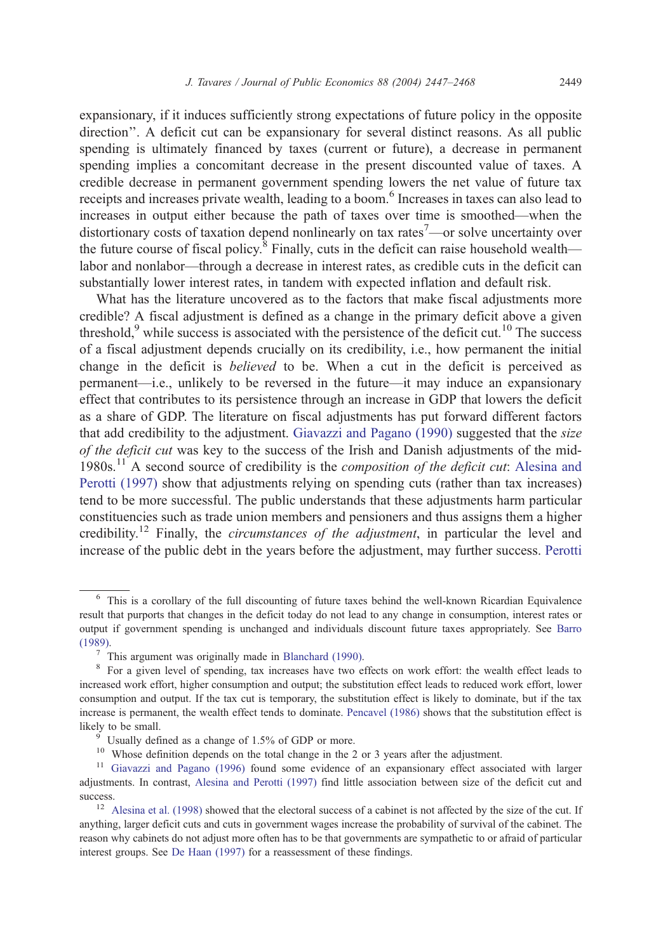expansionary, if it induces sufficiently strong expectations of future policy in the opposite direction''. A deficit cut can be expansionary for several distinct reasons. As all public spending is ultimately financed by taxes (current or future), a decrease in permanent spending implies a concomitant decrease in the present discounted value of taxes. A credible decrease in permanent government spending lowers the net value of future tax receipts and increases private wealth, leading to a boom.<sup>6</sup> Increases in taxes can also lead to increases in output either because the path of taxes over time is smoothed—when the distortionary costs of taxation depend nonlinearly on tax rates<sup>7</sup>—or solve uncertainty over the future course of fiscal policy.<sup>8</sup> Finally, cuts in the deficit can raise household wealth labor and nonlabor—through a decrease in interest rates, as credible cuts in the deficit can substantially lower interest rates, in tandem with expected inflation and default risk.

What has the literature uncovered as to the factors that make fiscal adjustments more credible? A fiscal adjustment is defined as a change in the primary deficit above a given threshold, $9$  while success is associated with the persistence of the deficit cut.<sup>10</sup> The success of a fiscal adjustment depends crucially on its credibility, i.e., how permanent the initial change in the deficit is believed to be. When a cut in the deficit is perceived as permanent—i.e., unlikely to be reversed in the future—it may induce an expansionary effect that contributes to its persistence through an increase in GDP that lowers the deficit as a share of GDP. The literature on fiscal adjustments has put forward different factors that add credibility to the adjustment. [Giavazzi and Pagano \(1990\)](#page-20-0) suggested that the size of the deficit cut was key to the success of the Irish and Danish adjustments of the mid-1980s.<sup>11</sup> A second source of credibility is the *composition of the deficit cut*: [Alesina and](#page-19-0) Perotti (1997) show that adjustments relying on spending cuts (rather than tax increases) tend to be more successful. The public understands that these adjustments harm particular constituencies such as trade union members and pensioners and thus assigns them a higher credibility.<sup>12</sup> Finally, the *circumstances of the adjustment*, in particular the level and increase of the public debt in the years before the adjustment, may further success. [Perotti](#page-20-0)

<sup>6</sup> This is a corollary of the full discounting of future taxes behind the well-known Ricardian Equivalence result that purports that changes in the deficit today do not lead to any change in consumption, interest rates or output if government spending is unchanged and individuals discount future taxes appropriately. See [Barro](#page-19-0) (1989).

 $^7$  This argument was originally made in [Blanchard \(1990\).](#page-19-0)

<sup>&</sup>lt;sup>8</sup> For a given level of spending, tax increases have two effects on work effort: the wealth effect leads to increased work effort, higher consumption and output; the substitution effect leads to reduced work effort, lower consumption and output. If the tax cut is temporary, the substitution effect is likely to dominate, but if the tax increase is permanent, the wealth effect tends to dominate. [Pencavel \(1986\)](#page-20-0) shows that the substitution effect is likely to be small.<br><sup>9</sup> Usually defined as a change of 1.5% of GDP or more.

<sup>&</sup>lt;sup>10</sup> Whose definition depends on the total change in the 2 or 3 years after the adjustment.

<sup>&</sup>lt;sup>11</sup> [Giavazzi and Pagano \(1996\)](#page-20-0) found some evidence of an expansionary effect associated with larger adjustments. In contrast, [Alesina and Perotti \(1997\)](#page-19-0) find little association between size of the deficit cut and success.<br><sup>12</sup> [Alesina et al. \(1998\)](#page-19-0) showed that the electoral success of a cabinet is not affected by the size of the cut. If

anything, larger deficit cuts and cuts in government wages increase the probability of survival of the cabinet. The reason why cabinets do not adjust more often has to be that governments are sympathetic to or afraid of particular interest groups. See [De Haan \(1997\)](#page-20-0) for a reassessment of these findings.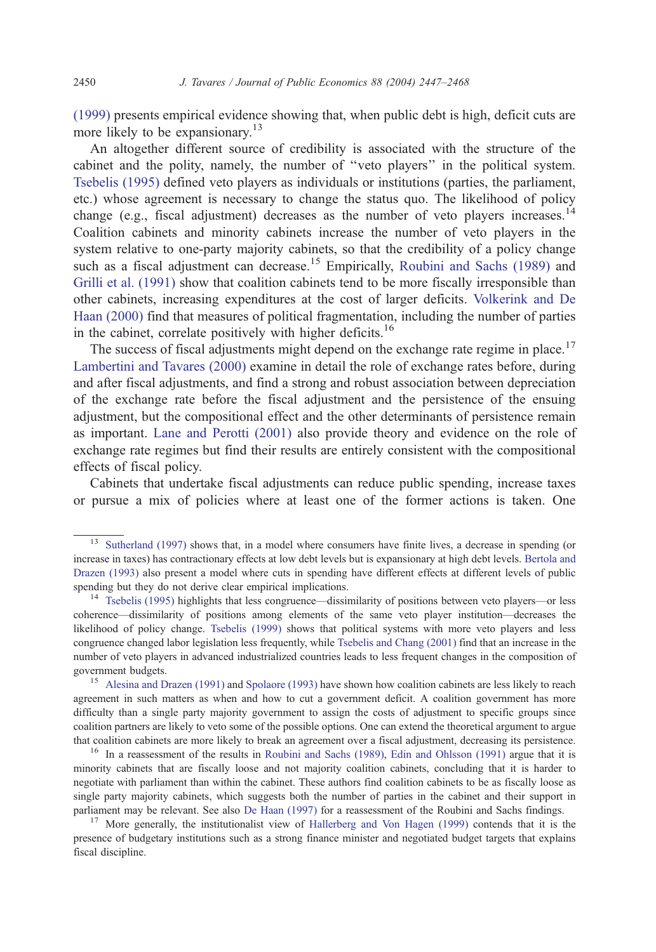(1999) presents empirical evidence showing that, when public debt is high, deficit cuts are more likely to be expansionary.<sup>13</sup>

An altogether different source of credibility is associated with the structure of the cabinet and the polity, namely, the number of ''veto players'' in the political system. [Tsebelis \(1995\)](#page-21-0) defined veto players as individuals or institutions (parties, the parliament, etc.) whose agreement is necessary to change the status quo. The likelihood of policy change (e.g., fiscal adjustment) decreases as the number of veto players increases.<sup>14</sup> Coalition cabinets and minority cabinets increase the number of veto players in the system relative to one-party majority cabinets, so that the credibility of a policy change such as a fiscal adjustment can decrease.<sup>15</sup> Empirically, [Roubini and Sachs \(1989\)](#page-20-0) and [Grilli et al. \(1991\)](#page-20-0) show that coalition cabinets tend to be more fiscally irresponsible than other cabinets, increasing expenditures at the cost of larger deficits. [Volkerink and De](#page-21-0) Haan (2000) find that measures of political fragmentation, including the number of parties in the cabinet, correlate positively with higher deficits.<sup>16</sup>

The success of fiscal adjustments might depend on the exchange rate regime in place.<sup>17</sup> [Lambertini and Tavares \(2000\)](#page-20-0) examine in detail the role of exchange rates before, during and after fiscal adjustments, and find a strong and robust association between depreciation of the exchange rate before the fiscal adjustment and the persistence of the ensuing adjustment, but the compositional effect and the other determinants of persistence remain as important. [Lane and Perotti \(2001\)](#page-20-0) also provide theory and evidence on the role of exchange rate regimes but find their results are entirely consistent with the compositional effects of fiscal policy.

Cabinets that undertake fiscal adjustments can reduce public spending, increase taxes or pursue a mix of policies where at least one of the former actions is taken. One

<sup>&</sup>lt;sup>13</sup> [Sutherland \(1997\)](#page-21-0) shows that, in a model where consumers have finite lives, a decrease in spending (or increase in taxes) has contractionary effects at low debt levels but is expansionary at high debt levels. [Bertola and](#page-19-0) Drazen (1993) also present a model where cuts in spending have different effects at different levels of public spending but they do not derive clear empirical implications.

<sup>14</sup> [Tsebelis \(1995\)](#page-21-0) highlights that less congruence—dissimilarity of positions between veto players—or less coherence—dissimilarity of positions among elements of the same veto player institution—decreases the likelihood of policy change. [Tsebelis \(1999\)](#page-21-0) shows that political systems with more veto players and less congruence changed labor legislation less frequently, while [Tsebelis and Chang \(2001\)](#page-21-0) find that an increase in the number of veto players in advanced industrialized countries leads to less frequent changes in the composition of government budgets.<br><sup>15</sup> [Alesina and Drazen \(1991\)](#page-19-0) and [Spolaore \(1993\)](#page-20-0) have shown how coalition cabinets are less likely to reach

agreement in such matters as when and how to cut a government deficit. A coalition government has more difficulty than a single party majority government to assign the costs of adjustment to specific groups since coalition partners are likely to veto some of the possible options. One can extend the theoretical argument to argue that coalition cabinets are more likely to break an agreement over a fiscal adjustment, decreasing its persistence.

<sup>&</sup>lt;sup>16</sup> In a reassessment of the results in [Roubini and Sachs \(1989\),](#page-20-0) [Edin and Ohlsson \(1991\)](#page-20-0) argue that it is minority cabinets that are fiscally loose and not majority coalition cabinets, concluding that it is harder to negotiate with parliament than within the cabinet. These authors find coalition cabinets to be as fiscally loose as single party majority cabinets, which suggests both the number of parties in the cabinet and their support in parliament may be relevant. See also [De Haan \(1997\)](#page-20-0) for a reassessment of the Roubini and Sachs findings.

<sup>&</sup>lt;sup>17</sup> More generally, the institutionalist view of [Hallerberg and Von Hagen \(1999\)](#page-20-0) contends that it is the presence of budgetary institutions such as a strong finance minister and negotiated budget targets that explains fiscal discipline.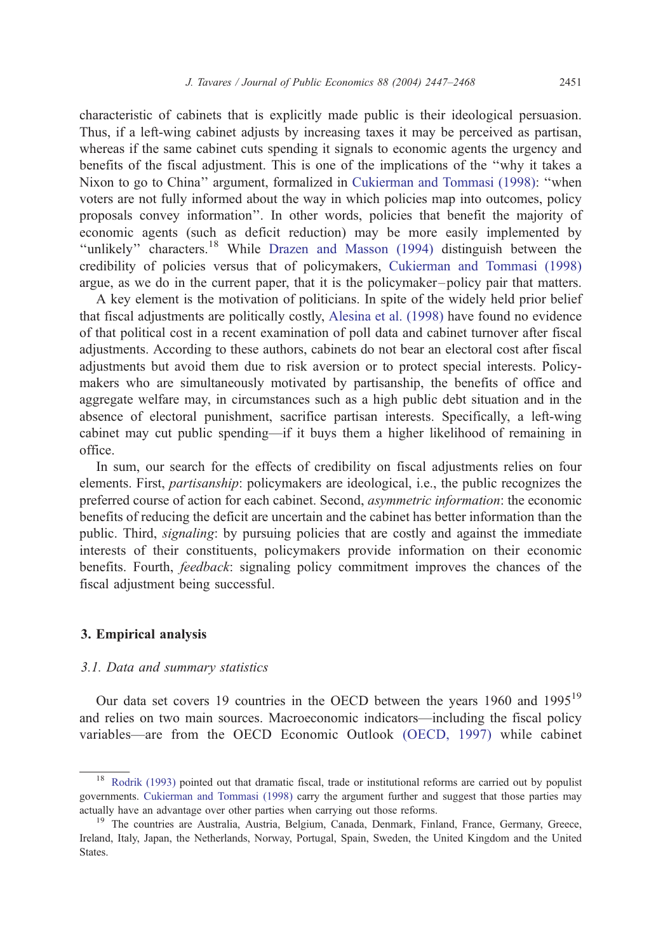characteristic of cabinets that is explicitly made public is their ideological persuasion. Thus, if a left-wing cabinet adjusts by increasing taxes it may be perceived as partisan, whereas if the same cabinet cuts spending it signals to economic agents the urgency and benefits of the fiscal adjustment. This is one of the implications of the ''why it takes a Nixon to go to China'' argument, formalized in [Cukierman and Tommasi \(1998\):](#page-19-0) ''when voters are not fully informed about the way in which policies map into outcomes, policy proposals convey information''. In other words, policies that benefit the majority of economic agents (such as deficit reduction) may be more easily implemented by "unlikely" characters.<sup>18</sup> While [Drazen and Masson \(1994\)](#page-20-0) distinguish between the credibility of policies versus that of policymakers, [Cukierman and Tommasi \(1998\)](#page-19-0) argue, as we do in the current paper, that it is the policymaker –policy pair that matters.

A key element is the motivation of politicians. In spite of the widely held prior belief that fiscal adjustments are politically costly, [Alesina et al. \(1998\)](#page-19-0) have found no evidence of that political cost in a recent examination of poll data and cabinet turnover after fiscal adjustments. According to these authors, cabinets do not bear an electoral cost after fiscal adjustments but avoid them due to risk aversion or to protect special interests. Policymakers who are simultaneously motivated by partisanship, the benefits of office and aggregate welfare may, in circumstances such as a high public debt situation and in the absence of electoral punishment, sacrifice partisan interests. Specifically, a left-wing cabinet may cut public spending—if it buys them a higher likelihood of remaining in office.

In sum, our search for the effects of credibility on fiscal adjustments relies on four elements. First, partisanship: policymakers are ideological, i.e., the public recognizes the preferred course of action for each cabinet. Second, asymmetric information: the economic benefits of reducing the deficit are uncertain and the cabinet has better information than the public. Third, *signaling*: by pursuing policies that are costly and against the immediate interests of their constituents, policymakers provide information on their economic benefits. Fourth, feedback: signaling policy commitment improves the chances of the fiscal adjustment being successful.

## 3. Empirical analysis

### 3.1. Data and summary statistics

Our data set covers 19 countries in the OECD between the years 1960 and 1995<sup>19</sup> and relies on two main sources. Macroeconomic indicators—including the fiscal policy variables—are from the OECD Economic Outlook [\(OECD, 1997\)](#page-20-0) while cabinet

<sup>&</sup>lt;sup>18</sup> [Rodrik \(1993\)](#page-20-0) pointed out that dramatic fiscal, trade or institutional reforms are carried out by populist governments. [Cukierman and Tommasi \(1998\)](#page-19-0) carry the argument further and suggest that those parties may actually have an advantage over other parties when carrying out those reforms.

<sup>&</sup>lt;sup>19</sup> The countries are Australia, Austria, Belgium, Canada, Denmark, Finland, France, Germany, Greece, Ireland, Italy, Japan, the Netherlands, Norway, Portugal, Spain, Sweden, the United Kingdom and the United States.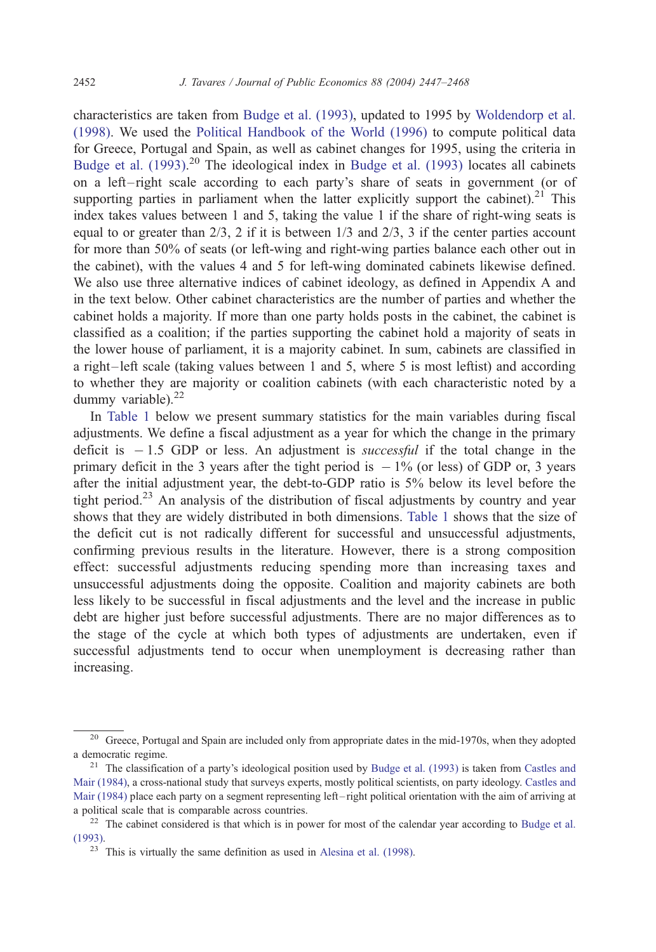characteristics are taken from [Budge et al. \(1993\),](#page-19-0) updated to 1995 by [Woldendorp et al.](#page-21-0) (1998). We used the [Political Handbook of the World \(1996\)](#page-20-0) to compute political data for Greece, Portugal and Spain, as well as cabinet changes for 1995, using the criteria in [Budge et al. \(1993\).](#page-19-0)<sup>20</sup> The ideological index in [Budge et al. \(1993\)](#page-19-0) locates all cabinets on a left – right scale according to each party's share of seats in government (or of supporting parties in parliament when the latter explicitly support the cabinet).<sup>21</sup> This index takes values between 1 and 5, taking the value 1 if the share of right-wing seats is equal to or greater than  $2/3$ , 2 if it is between  $1/3$  and  $2/3$ , 3 if the center parties account for more than 50% of seats (or left-wing and right-wing parties balance each other out in the cabinet), with the values 4 and 5 for left-wing dominated cabinets likewise defined. We also use three alternative indices of cabinet ideology, as defined in Appendix A and in the text below. Other cabinet characteristics are the number of parties and whether the cabinet holds a majority. If more than one party holds posts in the cabinet, the cabinet is classified as a coalition; if the parties supporting the cabinet hold a majority of seats in the lower house of parliament, it is a majority cabinet. In sum, cabinets are classified in a right –left scale (taking values between 1 and 5, where 5 is most leftist) and according to whether they are majority or coalition cabinets (with each characteristic noted by a dummy variable).<sup>22</sup>

In [Table 1](#page-6-0) below we present summary statistics for the main variables during fiscal adjustments. We define a fiscal adjustment as a year for which the change in the primary deficit is  $-1.5$  GDP or less. An adjustment is *successful* if the total change in the primary deficit in the 3 years after the tight period is  $-1\%$  (or less) of GDP or, 3 years after the initial adjustment year, the debt-to-GDP ratio is 5% below its level before the tight period.<sup>23</sup> An analysis of the distribution of fiscal adjustments by country and year shows that they are widely distributed in both dimensions. [Table 1](#page-6-0) shows that the size of the deficit cut is not radically different for successful and unsuccessful adjustments, confirming previous results in the literature. However, there is a strong composition effect: successful adjustments reducing spending more than increasing taxes and unsuccessful adjustments doing the opposite. Coalition and majority cabinets are both less likely to be successful in fiscal adjustments and the level and the increase in public debt are higher just before successful adjustments. There are no major differences as to the stage of the cycle at which both types of adjustments are undertaken, even if successful adjustments tend to occur when unemployment is decreasing rather than increasing.

<sup>&</sup>lt;sup>20</sup> Greece, Portugal and Spain are included only from appropriate dates in the mid-1970s, when they adopted a democratic regime.<br><sup>21</sup> The classification of a party's ideological position used by [Budge et al. \(1993\)](#page-19-0) is taken from [Castles and](#page-19-0)

Mair (1984), a cross-national study that surveys experts, mostly political scientists, on party ideology. [Castles and](#page-19-0) Mair (1984) place each party on a segment representing left – right political orientation with the aim of arriving at a political scale that is comparable across countries.<br><sup>22</sup> The cabinet considered is that which is in power for most of the calendar year according to [Budge et al.](#page-19-0)

<sup>(1993).</sup>

 $23$  This is virtually the same definition as used in [Alesina et al. \(1998\).](#page-19-0)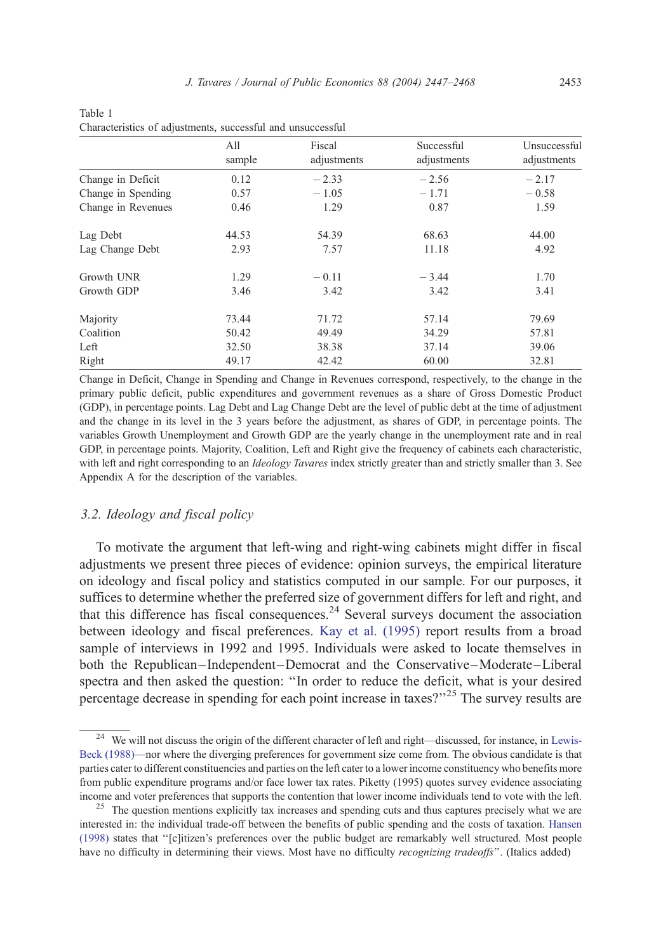|                    | All<br>sample | Fiscal<br>adjustments | Successful<br>adjustments | Unsuccessful<br>adjustments |
|--------------------|---------------|-----------------------|---------------------------|-----------------------------|
| Change in Deficit  | 0.12          | $-2.33$               | $-2.56$                   | $-2.17$                     |
| Change in Spending | 0.57          | $-1.05$               | $-1.71$                   | $-0.58$                     |
| Change in Revenues | 0.46          | 1.29                  | 0.87                      | 1.59                        |
| Lag Debt           | 44.53         | 54.39                 | 68.63                     | 44.00                       |
| Lag Change Debt    | 2.93          | 7.57                  | 11.18                     | 4.92                        |
| Growth UNR         | 1.29          | $-0.11$               | $-3.44$                   | 1.70                        |
| Growth GDP         | 3.46          | 3.42                  | 3.42                      | 3.41                        |
| Majority           | 73.44         | 71.72                 | 57.14                     | 79.69                       |
| Coalition          | 50.42         | 49.49                 | 34.29                     | 57.81                       |
| Left               | 32.50         | 38.38                 | 37.14                     | 39.06                       |
| Right              | 49.17         | 42.42                 | 60.00                     | 32.81                       |

<span id="page-6-0"></span>

| Table 1                                                     |  |  |
|-------------------------------------------------------------|--|--|
| Characteristics of adjustments, successful and unsuccessful |  |  |

Change in Deficit, Change in Spending and Change in Revenues correspond, respectively, to the change in the primary public deficit, public expenditures and government revenues as a share of Gross Domestic Product (GDP), in percentage points. Lag Debt and Lag Change Debt are the level of public debt at the time of adjustment and the change in its level in the 3 years before the adjustment, as shares of GDP, in percentage points. The variables Growth Unemployment and Growth GDP are the yearly change in the unemployment rate and in real GDP, in percentage points. Majority, Coalition, Left and Right give the frequency of cabinets each characteristic, with left and right corresponding to an *Ideology Tavares* index strictly greater than and strictly smaller than 3. See Appendix A for the description of the variables.

# 3.2. Ideology and fiscal policy

To motivate the argument that left-wing and right-wing cabinets might differ in fiscal adjustments we present three pieces of evidence: opinion surveys, the empirical literature on ideology and fiscal policy and statistics computed in our sample. For our purposes, it suffices to determine whether the preferred size of government differs for left and right, and that this difference has fiscal consequences. $24$  Several surveys document the association between ideology and fiscal preferences. [Kay et al. \(1995\)](#page-20-0) report results from a broad sample of interviews in 1992 and 1995. Individuals were asked to locate themselves in both the Republican– Independent –Democrat and the Conservative –Moderate –Liberal spectra and then asked the question: ''In order to reduce the deficit, what is your desired percentage decrease in spending for each point increase in taxes?"<sup>25</sup> The survey results are

<sup>&</sup>lt;sup>24</sup> We will not discuss the origin of the different character of left and right—discussed, for instance, in [Lewis-](#page-20-0)Beck (1988)—nor where the diverging preferences for government size come from. The obvious candidate is that parties cater to different constituencies and parties on the left cater to a lower income constituency who benefits more from public expenditure programs and/or face lower tax rates. Piketty (1995) quotes survey evidence associating income and voter preferences that supports the contention that lower income individuals tend to vote with the left.

<sup>&</sup>lt;sup>25</sup> The question mentions explicitly tax increases and spending cuts and thus captures precisely what we are interested in: the individual trade-off between the benefits of public spending and the costs of taxation. [Hansen](#page-20-0) (1998) states that ''[c]itizen's preferences over the public budget are remarkably well structured. Most people have no difficulty in determining their views. Most have no difficulty recognizing tradeoffs". (Italics added)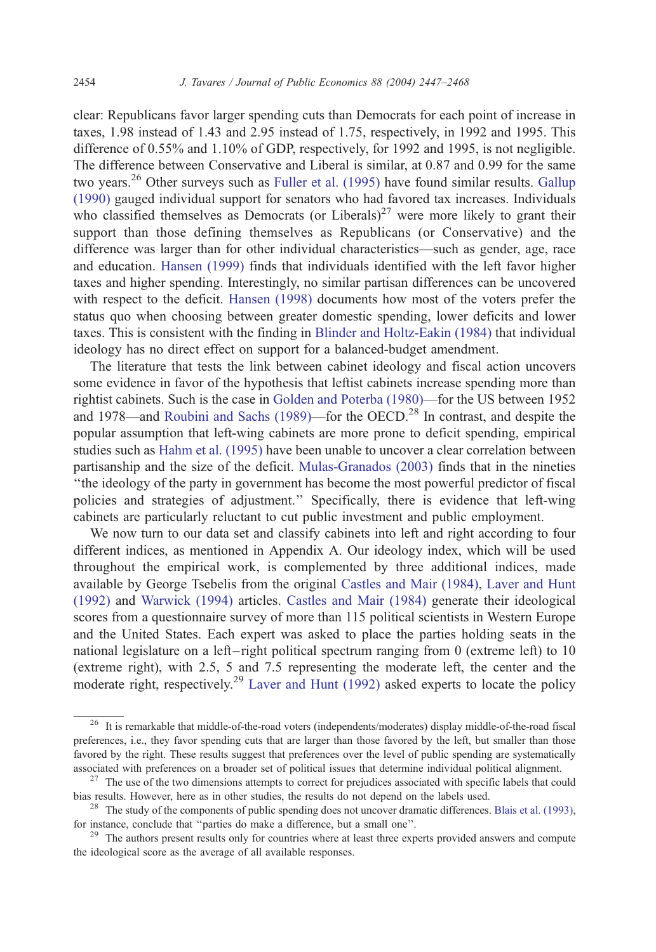clear: Republicans favor larger spending cuts than Democrats for each point of increase in taxes, 1.98 instead of 1.43 and 2.95 instead of 1.75, respectively, in 1992 and 1995. This difference of 0.55% and 1.10% of GDP, respectively, for 1992 and 1995, is not negligible. The difference between Conservative and Liberal is similar, at 0.87 and 0.99 for the same two years.<sup>26</sup> Other surveys such as [Fuller et al. \(1995\)](#page-20-0) have found similar results. [Gallup](#page-20-0) (1990) gauged individual support for senators who had favored tax increases. Individuals who classified themselves as Democrats (or Liberals)<sup>27</sup> were more likely to grant their support than those defining themselves as Republicans (or Conservative) and the difference was larger than for other individual characteristics—such as gender, age, race and education. [Hansen \(1999\)](#page-20-0) finds that individuals identified with the left favor higher taxes and higher spending. Interestingly, no similar partisan differences can be uncovered with respect to the deficit. [Hansen \(1998\)](#page-20-0) documents how most of the voters prefer the status quo when choosing between greater domestic spending, lower deficits and lower taxes. This is consistent with the finding in [Blinder and Holtz-Eakin \(1984\)](#page-19-0) that individual ideology has no direct effect on support for a balanced-budget amendment.

The literature that tests the link between cabinet ideology and fiscal action uncovers some evidence in favor of the hypothesis that leftist cabinets increase spending more than rightist cabinets. Such is the case in [Golden and Poterba \(1980\)—](#page-20-0)for the US between 1952 and 1978—and [Roubini and Sachs \(1989\)—](#page-20-0)for the OECD.<sup>28</sup> In contrast, and despite the popular assumption that left-wing cabinets are more prone to deficit spending, empirical studies such as [Hahm et al. \(1995\)](#page-20-0) have been unable to uncover a clear correlation between partisanship and the size of the deficit. [Mulas-Granados \(2003\)](#page-20-0) finds that in the nineties ''the ideology of the party in government has become the most powerful predictor of fiscal policies and strategies of adjustment.'' Specifically, there is evidence that left-wing cabinets are particularly reluctant to cut public investment and public employment.

We now turn to our data set and classify cabinets into left and right according to four different indices, as mentioned in Appendix A. Our ideology index, which will be used throughout the empirical work, is complemented by three additional indices, made available by George Tsebelis from the original [Castles and Mair \(1984\),](#page-19-0) [Laver and Hunt](#page-20-0) (1992) and [Warwick \(1994\)](#page-21-0) articles. [Castles and Mair \(1984\)](#page-19-0) generate their ideological scores from a questionnaire survey of more than 115 political scientists in Western Europe and the United States. Each expert was asked to place the parties holding seats in the national legislature on a left-right political spectrum ranging from  $0$  (extreme left) to  $10$ (extreme right), with 2.5, 5 and 7.5 representing the moderate left, the center and the moderate right, respectively.<sup>29</sup> [Laver and Hunt \(1992\)](#page-20-0) asked experts to locate the policy

<sup>&</sup>lt;sup>26</sup> It is remarkable that middle-of-the-road voters (independents/moderates) display middle-of-the-road fiscal preferences, i.e., they favor spending cuts that are larger than those favored by the left, but smaller than those favored by the right. These results suggest that preferences over the level of public spending are systematically associated with preferences on a broader set of political issues that determine individual political alignment. <sup>27</sup> The use of the two dimensions attempts to correct for prejudices associated with specific labels that cou

bias results. However, here as in other studies, the results do not depend on the labels used.<br><sup>28</sup> The study of the components of public spending does not uncover dramatic differences. [Blais et al. \(1993\),](#page-19-0)

for instance, conclude that ''parties do make a difference, but a small one''.

<sup>&</sup>lt;sup>29</sup> The authors present results only for countries where at least three experts provided answers and compute the ideological score as the average of all available responses.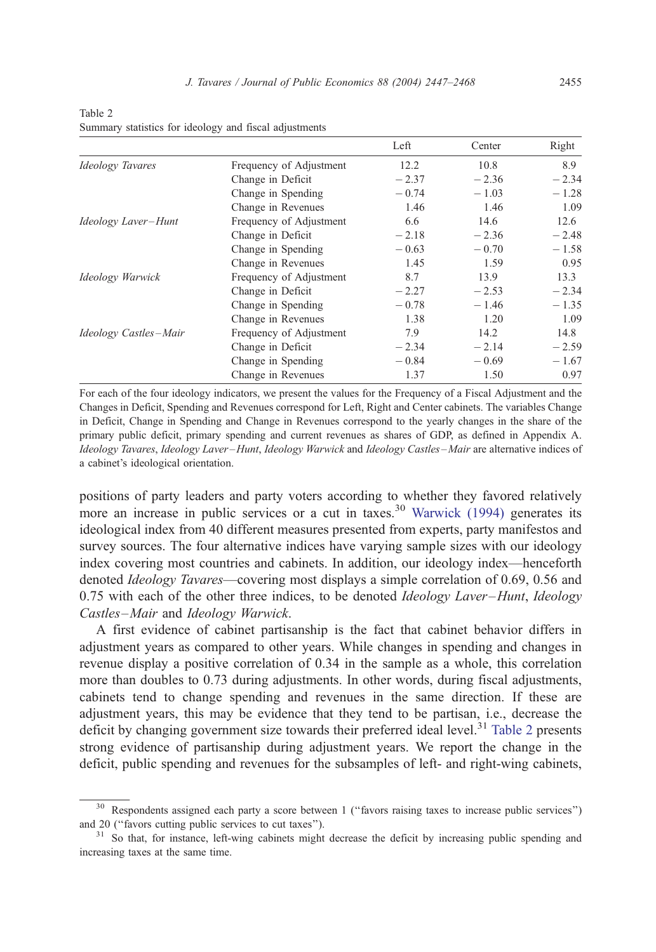<span id="page-8-0"></span>Table 2 Summary statistics for ideology and fiscal adjustments

|                         |                         | Left    | Center  | Right   |
|-------------------------|-------------------------|---------|---------|---------|
| <b>Ideology Tavares</b> | Frequency of Adjustment | 12.2    | 10.8    | 8.9     |
|                         | Change in Deficit       | $-2.37$ | $-2.36$ | $-2.34$ |
|                         | Change in Spending      | $-0.74$ | $-1.03$ | $-1.28$ |
|                         | Change in Revenues      | 1.46    | 1.46    | 1.09    |
| Ideology Laver-Hunt     | Frequency of Adjustment | 6.6     | 14.6    | 12.6    |
|                         | Change in Deficit       | $-2.18$ | $-2.36$ | $-2.48$ |
|                         | Change in Spending      | $-0.63$ | $-0.70$ | $-1.58$ |
|                         | Change in Revenues      | 1.45    | 1.59    | 0.95    |
| Ideology Warwick        | Frequency of Adjustment | 8.7     | 13.9    | 13.3    |
|                         | Change in Deficit       | $-2.27$ | $-2.53$ | $-2.34$ |
|                         | Change in Spending      | $-0.78$ | $-1.46$ | $-1.35$ |
|                         | Change in Revenues      | 1.38    | 1.20    | 1.09    |
| Ideology Castles-Mair   | Frequency of Adjustment | 7.9     | 14.2    | 14.8    |
|                         | Change in Deficit       | $-2.34$ | $-2.14$ | $-2.59$ |
|                         | Change in Spending      | $-0.84$ | $-0.69$ | $-1.67$ |
|                         | Change in Revenues      | 1.37    | 1.50    | 0.97    |

For each of the four ideology indicators, we present the values for the Frequency of a Fiscal Adjustment and the Changes in Deficit, Spending and Revenues correspond for Left, Right and Center cabinets. The variables Change in Deficit, Change in Spending and Change in Revenues correspond to the yearly changes in the share of the primary public deficit, primary spending and current revenues as shares of GDP, as defined in Appendix A. Ideology Tavares, Ideology Laver –Hunt, Ideology Warwick and Ideology Castles –Mair are alternative indices of a cabinet's ideological orientation.

positions of party leaders and party voters according to whether they favored relatively more an increase in public services or a cut in taxes.<sup>30</sup> [Warwick \(1994\)](#page-21-0) generates its ideological index from 40 different measures presented from experts, party manifestos and survey sources. The four alternative indices have varying sample sizes with our ideology index covering most countries and cabinets. In addition, our ideology index—henceforth denoted Ideology Tavares—covering most displays a simple correlation of 0.69, 0.56 and 0.75 with each of the other three indices, to be denoted *Ideology Laver–Hunt*, *Ideology* Castles–Mair and Ideology Warwick.

A first evidence of cabinet partisanship is the fact that cabinet behavior differs in adjustment years as compared to other years. While changes in spending and changes in revenue display a positive correlation of 0.34 in the sample as a whole, this correlation more than doubles to 0.73 during adjustments. In other words, during fiscal adjustments, cabinets tend to change spending and revenues in the same direction. If these are adjustment years, this may be evidence that they tend to be partisan, i.e., decrease the deficit by changing government size towards their preferred ideal level.<sup>31</sup> Table 2 presents strong evidence of partisanship during adjustment years. We report the change in the deficit, public spending and revenues for the subsamples of left- and right-wing cabinets,

<sup>&</sup>lt;sup>30</sup> Respondents assigned each party a score between 1 ("favors raising taxes to increase public services") and 20 (''favors cutting public services to cut taxes'').

<sup>&</sup>lt;sup>31</sup> So that, for instance, left-wing cabinets might decrease the deficit by increasing public spending and increasing taxes at the same time.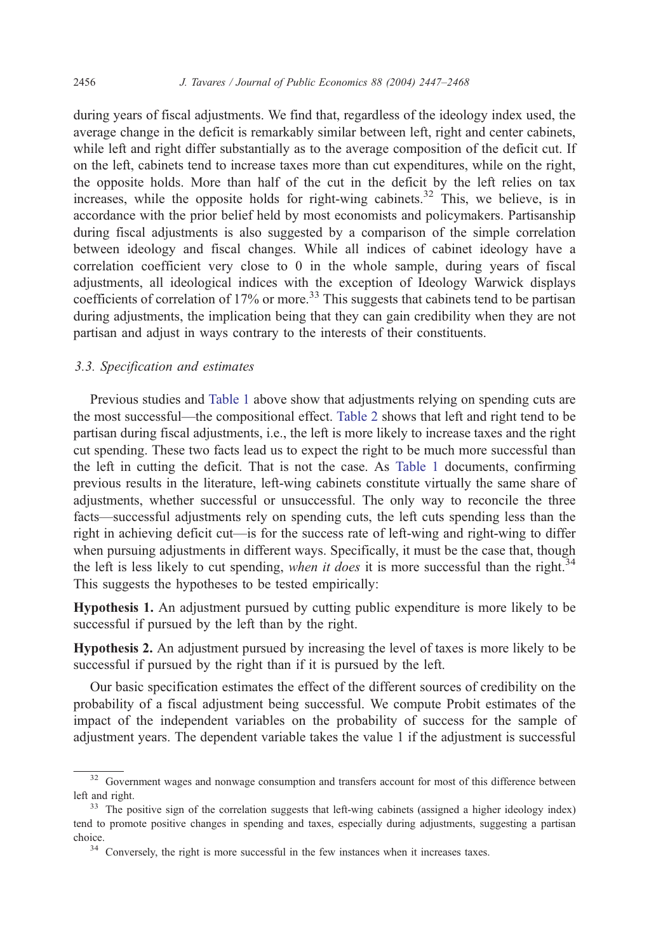during years of fiscal adjustments. We find that, regardless of the ideology index used, the average change in the deficit is remarkably similar between left, right and center cabinets, while left and right differ substantially as to the average composition of the deficit cut. If on the left, cabinets tend to increase taxes more than cut expenditures, while on the right, the opposite holds. More than half of the cut in the deficit by the left relies on tax increases, while the opposite holds for right-wing cabinets.<sup>32</sup> This, we believe, is in accordance with the prior belief held by most economists and policymakers. Partisanship during fiscal adjustments is also suggested by a comparison of the simple correlation between ideology and fiscal changes. While all indices of cabinet ideology have a correlation coefficient very close to 0 in the whole sample, during years of fiscal adjustments, all ideological indices with the exception of Ideology Warwick displays coefficients of correlation of 17% or more.<sup>33</sup> This suggests that cabinets tend to be partisan during adjustments, the implication being that they can gain credibility when they are not partisan and adjust in ways contrary to the interests of their constituents.

# 3.3. Specification and estimates

Previous studies and [Table 1](#page-6-0) above show that adjustments relying on spending cuts are the most successful—the compositional effect. [Table 2](#page-8-0) shows that left and right tend to be partisan during fiscal adjustments, i.e., the left is more likely to increase taxes and the right cut spending. These two facts lead us to expect the right to be much more successful than the left in cutting the deficit. That is not the case. As [Table 1](#page-6-0) documents, confirming previous results in the literature, left-wing cabinets constitute virtually the same share of adjustments, whether successful or unsuccessful. The only way to reconcile the three facts—successful adjustments rely on spending cuts, the left cuts spending less than the right in achieving deficit cut—is for the success rate of left-wing and right-wing to differ when pursuing adjustments in different ways. Specifically, it must be the case that, though the left is less likely to cut spending, when it does it is more successful than the right. $34$ This suggests the hypotheses to be tested empirically:

Hypothesis 1. An adjustment pursued by cutting public expenditure is more likely to be successful if pursued by the left than by the right.

Hypothesis 2. An adjustment pursued by increasing the level of taxes is more likely to be successful if pursued by the right than if it is pursued by the left.

Our basic specification estimates the effect of the different sources of credibility on the probability of a fiscal adjustment being successful. We compute Probit estimates of the impact of the independent variables on the probability of success for the sample of adjustment years. The dependent variable takes the value 1 if the adjustment is successful

<sup>&</sup>lt;sup>32</sup> Government wages and nonwage consumption and transfers account for most of this difference between left and right.

<sup>&</sup>lt;sup>33</sup> The positive sign of the correlation suggests that left-wing cabinets (assigned a higher ideology index) tend to promote positive changes in spending and taxes, especially during adjustments, suggesting a partisan choice.

<sup>&</sup>lt;sup>34</sup> Conversely, the right is more successful in the few instances when it increases taxes.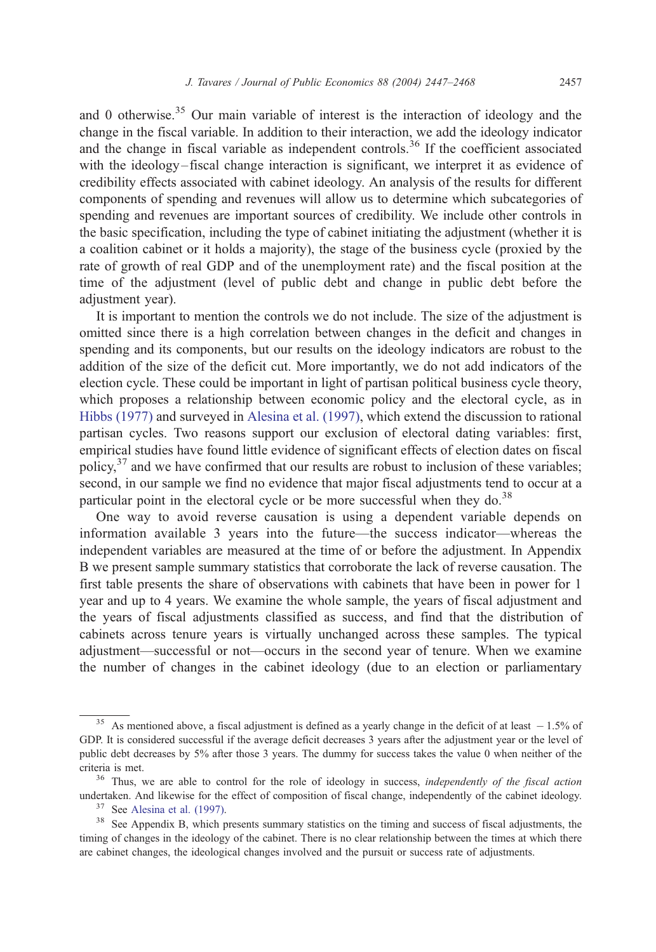and 0 otherwise.<sup>35</sup> Our main variable of interest is the interaction of ideology and the change in the fiscal variable. In addition to their interaction, we add the ideology indicator and the change in fiscal variable as independent controls.<sup>36</sup> If the coefficient associated with the ideology–fiscal change interaction is significant, we interpret it as evidence of credibility effects associated with cabinet ideology. An analysis of the results for different components of spending and revenues will allow us to determine which subcategories of spending and revenues are important sources of credibility. We include other controls in the basic specification, including the type of cabinet initiating the adjustment (whether it is a coalition cabinet or it holds a majority), the stage of the business cycle (proxied by the rate of growth of real GDP and of the unemployment rate) and the fiscal position at the time of the adjustment (level of public debt and change in public debt before the adjustment year).

It is important to mention the controls we do not include. The size of the adjustment is omitted since there is a high correlation between changes in the deficit and changes in spending and its components, but our results on the ideology indicators are robust to the addition of the size of the deficit cut. More importantly, we do not add indicators of the election cycle. These could be important in light of partisan political business cycle theory, which proposes a relationship between economic policy and the electoral cycle, as in [Hibbs \(1977\)](#page-20-0) and surveyed in [Alesina et al. \(1997\),](#page-19-0) which extend the discussion to rational partisan cycles. Two reasons support our exclusion of electoral dating variables: first, empirical studies have found little evidence of significant effects of election dates on fiscal policy, $37$  and we have confirmed that our results are robust to inclusion of these variables; second, in our sample we find no evidence that major fiscal adjustments tend to occur at a particular point in the electoral cycle or be more successful when they do.<sup>38</sup>

One way to avoid reverse causation is using a dependent variable depends on information available 3 years into the future—the success indicator—whereas the independent variables are measured at the time of or before the adjustment. In Appendix B we present sample summary statistics that corroborate the lack of reverse causation. The first table presents the share of observations with cabinets that have been in power for 1 year and up to 4 years. We examine the whole sample, the years of fiscal adjustment and the years of fiscal adjustments classified as success, and find that the distribution of cabinets across tenure years is virtually unchanged across these samples. The typical adjustment—successful or not—occurs in the second year of tenure. When we examine the number of changes in the cabinet ideology (due to an election or parliamentary

<sup>&</sup>lt;sup>35</sup> As mentioned above, a fiscal adjustment is defined as a yearly change in the deficit of at least  $-1.5\%$  of GDP. It is considered successful if the average deficit decreases 3 years after the adjustment year or the level of public debt decreases by 5% after those 3 years. The dummy for success takes the value 0 when neither of the criteria is met.

<sup>&</sup>lt;sup>36</sup> Thus, we are able to control for the role of ideology in success, independently of the fiscal action undertaken. And likewise for the effect of composition of fiscal change, independently of the cabinet ideology.

<sup>37</sup> See [Alesina et al. \(1997\).](#page-19-0)

<sup>&</sup>lt;sup>38</sup> See Appendix B, which presents summary statistics on the timing and success of fiscal adjustments, the timing of changes in the ideology of the cabinet. There is no clear relationship between the times at which there are cabinet changes, the ideological changes involved and the pursuit or success rate of adjustments.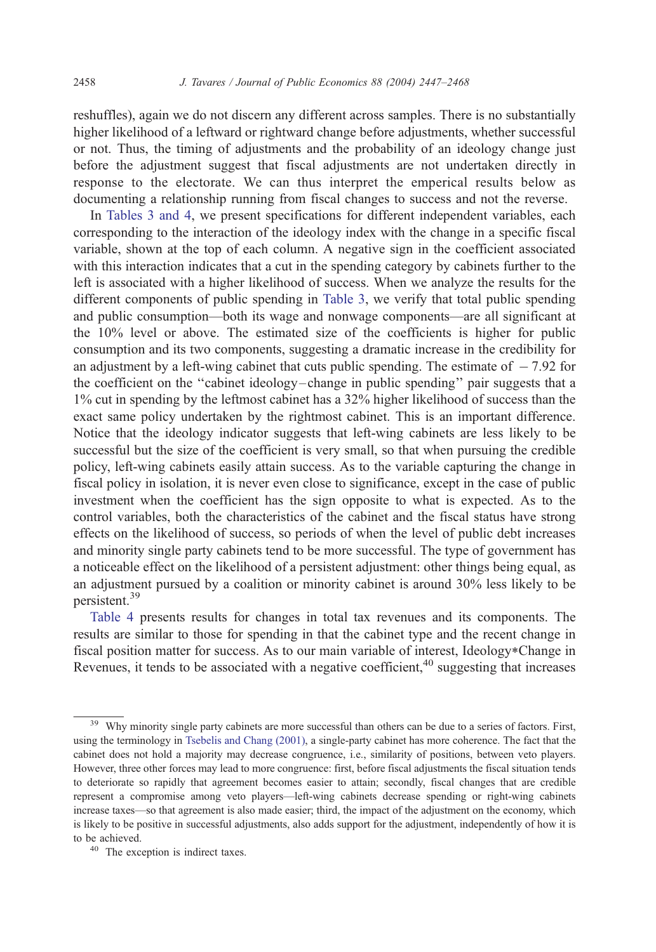reshuffles), again we do not discern any different across samples. There is no substantially higher likelihood of a leftward or rightward change before adjustments, whether successful or not. Thus, the timing of adjustments and the probability of an ideology change just before the adjustment suggest that fiscal adjustments are not undertaken directly in response to the electorate. We can thus interpret the emperical results below as documenting a relationship running from fiscal changes to success and not the reverse.

In [Tables 3 and 4,](#page-12-0) we present specifications for different independent variables, each corresponding to the interaction of the ideology index with the change in a specific fiscal variable, shown at the top of each column. A negative sign in the coefficient associated with this interaction indicates that a cut in the spending category by cabinets further to the left is associated with a higher likelihood of success. When we analyze the results for the different components of public spending in [Table 3,](#page-12-0) we verify that total public spending and public consumption—both its wage and nonwage components—are all significant at the 10% level or above. The estimated size of the coefficients is higher for public consumption and its two components, suggesting a dramatic increase in the credibility for an adjustment by a left-wing cabinet that cuts public spending. The estimate of  $-7.92$  for the coefficient on the ''cabinet ideology–change in public spending'' pair suggests that a 1% cut in spending by the leftmost cabinet has a 32% higher likelihood of success than the exact same policy undertaken by the rightmost cabinet. This is an important difference. Notice that the ideology indicator suggests that left-wing cabinets are less likely to be successful but the size of the coefficient is very small, so that when pursuing the credible policy, left-wing cabinets easily attain success. As to the variable capturing the change in fiscal policy in isolation, it is never even close to significance, except in the case of public investment when the coefficient has the sign opposite to what is expected. As to the control variables, both the characteristics of the cabinet and the fiscal status have strong effects on the likelihood of success, so periods of when the level of public debt increases and minority single party cabinets tend to be more successful. The type of government has a noticeable effect on the likelihood of a persistent adjustment: other things being equal, as an adjustment pursued by a coalition or minority cabinet is around 30% less likely to be persistent.<sup>39</sup>

[Table 4](#page-13-0) presents results for changes in total tax revenues and its components. The results are similar to those for spending in that the cabinet type and the recent change in fiscal position matter for success. As to our main variable of interest, Ideology\*Change in Revenues, it tends to be associated with a negative coefficient,  $40$  suggesting that increases

<sup>&</sup>lt;sup>39</sup> Why minority single party cabinets are more successful than others can be due to a series of factors. First, using the terminology in [Tsebelis and Chang \(2001\),](#page-21-0) a single-party cabinet has more coherence. The fact that the cabinet does not hold a majority may decrease congruence, i.e., similarity of positions, between veto players. However, three other forces may lead to more congruence: first, before fiscal adjustments the fiscal situation tends to deteriorate so rapidly that agreement becomes easier to attain; secondly, fiscal changes that are credible represent a compromise among veto players—left-wing cabinets decrease spending or right-wing cabinets increase taxes—so that agreement is also made easier; third, the impact of the adjustment on the economy, which is likely to be positive in successful adjustments, also adds support for the adjustment, independently of how it is to be achieved.

<sup>40</sup> The exception is indirect taxes.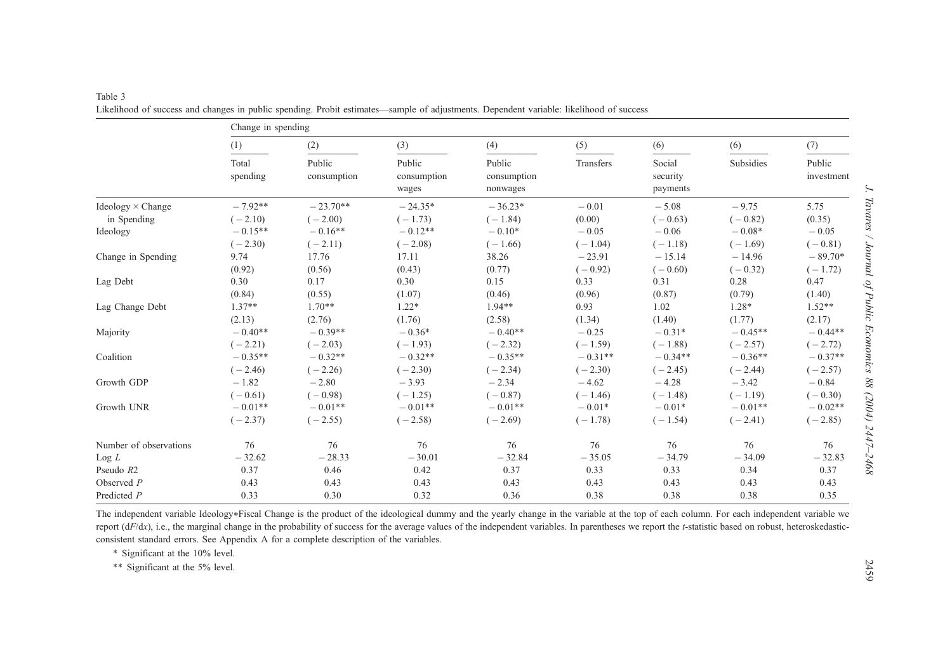|                          | Change in spending |                       |                                |                                   |           |                                |           |                      |
|--------------------------|--------------------|-----------------------|--------------------------------|-----------------------------------|-----------|--------------------------------|-----------|----------------------|
|                          | (1)                | (2)                   | (3)                            | (4)                               | (5)       | (6)                            | (6)       | (7)                  |
|                          | Total<br>spending  | Public<br>consumption | Public<br>consumption<br>wages | Public<br>consumption<br>nonwages | Transfers | Social<br>security<br>payments | Subsidies | Public<br>investment |
| $Ideology \times Change$ | $-7.92**$          | $-23.70**$            | $-24.35*$                      | $-36.23*$                         | $-0.01$   | $-5.08$                        | $-9.75$   | 5.75                 |
| in Spending              | $(-2.10)$          | $(-2.00)$             | $(-1.73)$                      | $(-1.84)$                         | (0.00)    | $(-0.63)$                      | $(-0.82)$ | (0.35)               |
| Ideology                 | $-0.15**$          | $-0.16**$             | $-0.12**$                      | $-0.10*$                          | $-0.05$   | $-0.06$                        | $-0.08*$  | $-0.05$              |
|                          | $(-2.30)$          | $(-2.11)$             | $(-2.08)$                      | $(-1.66)$                         | $(-1.04)$ | $(-1.18)$                      | $(-1.69)$ | $(-0.81)$            |
| Change in Spending       | 9.74               | 17.76                 | 17.11                          | 38.26                             | $-23.91$  | $-15.14$                       | $-14.96$  | $-89.70*$            |
|                          | (0.92)             | (0.56)                | (0.43)                         | (0.77)                            | $(-0.92)$ | $(-0.60)$                      | $(-0.32)$ | $(-1.72)$            |
| Lag Debt                 | 0.30               | 0.17                  | 0.30                           | 0.15                              | 0.33      | 0.31                           | 0.28      | 0.47                 |
|                          | (0.84)             | (0.55)                | (1.07)                         | (0.46)                            | (0.96)    | (0.87)                         | (0.79)    | (1.40)               |
| Lag Change Debt          | $1.37**$           | $1.70**$              | $1.22*$                        | $1.94**$                          | 0.93      | 1.02                           | $1.28*$   | $1.52**$             |
|                          | (2.13)             | (2.76)                | (1.76)                         | (2.58)                            | (1.34)    | (1.40)                         | (1.77)    | (2.17)               |
| Majority                 | $-0.40**$          | $-0.39**$             | $-0.36*$                       | $-0.40**$                         | $-0.25$   | $-0.31*$                       | $-0.45**$ | $-0.44**$            |
|                          | $(-2.21)$          | $(-2.03)$             | $(-1.93)$                      | $(-2.32)$                         | $(-1.59)$ | $(-1.88)$                      | $(-2.57)$ | $(-2.72)$            |
| Coalition                | $-0.35**$          | $-0.32**$             | $-0.32**$                      | $-0.35**$                         | $-0.31**$ | $-0.34**$                      | $-0.36**$ | $-0.37**$            |
|                          | $(-2.46)$          | $(-2.26)$             | $(-2.30)$                      | $(-2.34)$                         | $(-2.30)$ | $(-2.45)$                      | $(-2.44)$ | $(-2.57)$            |
| Growth GDP               | $-1.82$            | $-2.80$               | $-3.93$                        | $-2.34$                           | $-4.62$   | $-4.28$                        | $-3.42$   | $-0.84$              |
|                          | $(-0.61)$          | $(-0.98)$             | $(-1.25)$                      | $(-0.87)$                         | $(-1.46)$ | $(-1.48)$                      | $(-1.19)$ | $(-0.30)$            |
| Growth UNR               | $-0.01**$          | $-0.01**$             | $-0.01**$                      | $-0.01**$                         | $-0.01*$  | $-0.01*$                       | $-0.01**$ | $-0.02**$            |
|                          | $(-2.37)$          | $(-2.55)$             | $(-2.58)$                      | $(-2.69)$                         | $(-1.78)$ | $(-1.54)$                      | $(-2.41)$ | $(-2.85)$            |
| Number of observations   | 76                 | 76                    | 76                             | 76                                | 76        | 76                             | 76        | 76                   |
| Log L                    | $-32.62$           | $-28.33$              | $-30.01$                       | $-32.84$                          | $-35.05$  | $-34.79$                       | $-34.09$  | $-32.83$             |
| Pseudo R2                | 0.37               | 0.46                  | 0.42                           | 0.37                              | 0.33      | 0.33                           | 0.34      | 0.37                 |
| Observed $P$             | 0.43               | 0.43                  | 0.43                           | 0.43                              | 0.43      | 0.43                           | 0.43      | 0.43                 |
| Predicted P              | 0.33               | 0.30                  | 0.32                           | 0.36                              | 0.38      | 0.38                           | 0.38      | 0.35                 |

<span id="page-12-0"></span>Table 3Likelihood of success and changes in public spending. Probit estimates—sample of adjustments. Dependent variable: likelihood of success

The independent variable Ideology\*Fiscal Change is the product of the ideological dummy and the yearly change in the variable at the top of each column. For each independent variable we report  $(dF/dx)$ , i.e., the marginal change in the probability of success for the average values of the independent variables. In parentheses we report the t-statistic based on robust, heteroskedasticconsistent standard errors. See Appendix A for <sup>a</sup> complete description of the variables.

\* Significant at the 10% level.

\*\* Significant at the 5% level.

J. Tavares / Journal of Public Economics 88 (2004) 2447-2468 J. Tavares / Journal of Public Economics 88 (2004) 2447–2468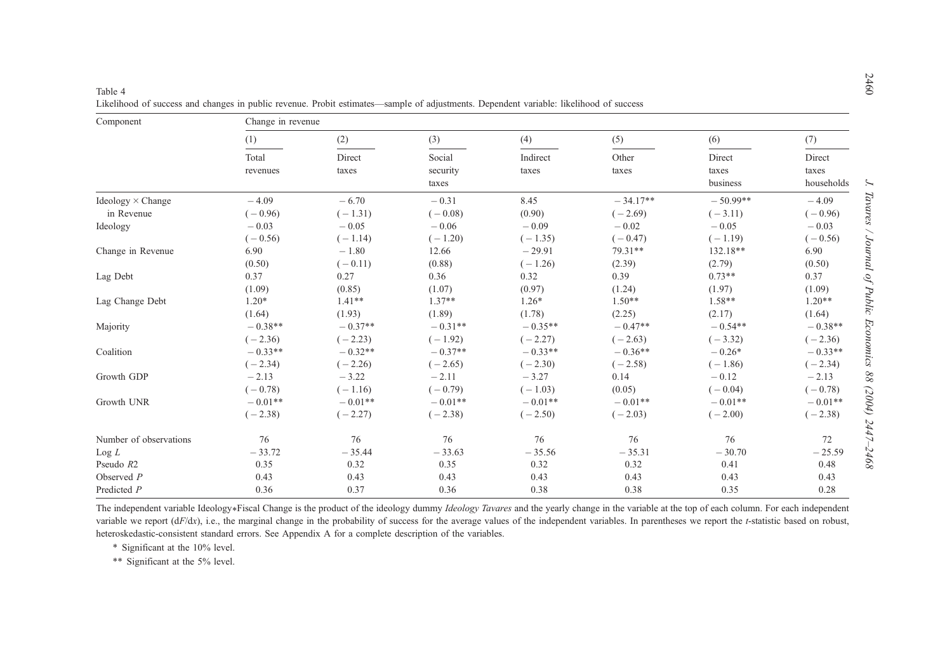| Component                | Change in revenue |           |           |           |            |            |            |  |  |
|--------------------------|-------------------|-----------|-----------|-----------|------------|------------|------------|--|--|
|                          | (1)               | (2)       | (3)       | (4)       | (5)        | (6)        | (7)        |  |  |
|                          | Total             | Direct    | Social    | Indirect  | Other      | Direct     | Direct     |  |  |
|                          | revenues          | taxes     | security  | taxes     | taxes      | taxes      | taxes      |  |  |
|                          |                   |           | taxes     |           |            | business   | households |  |  |
| Ideology $\times$ Change | $-4.09$           | $-6.70$   | $-0.31$   | 8.45      | $-34.17**$ | $-50.99**$ | $-4.09$    |  |  |
| in Revenue               | $(-0.96)$         | $(-1.31)$ | $(-0.08)$ | (0.90)    | $(-2.69)$  | $(-3.11)$  | $(-0.96)$  |  |  |
| Ideology                 | $-0.03$           | $-0.05$   | $-0.06$   | $-0.09$   | $-0.02$    | $-0.05$    | $-0.03$    |  |  |
|                          | $(-0.56)$         | $(-1.14)$ | $(-1.20)$ | $(-1.35)$ | $(-0.47)$  | $(-1.19)$  | $(-0.56)$  |  |  |
| Change in Revenue        | 6.90              | $-1.80$   | 12.66     | $-29.91$  | 79.31**    | 132.18**   | 6.90       |  |  |
|                          | (0.50)            | $(-0.11)$ | (0.88)    | $(-1.26)$ | (2.39)     | (2.79)     | (0.50)     |  |  |
| Lag Debt                 | 0.37              | 0.27      | 0.36      | 0.32      | 0.39       | $0.73**$   | 0.37       |  |  |
|                          | (1.09)            | (0.85)    | (1.07)    | (0.97)    | (1.24)     | (1.97)     | (1.09)     |  |  |
| Lag Change Debt          | $1.20*$           | $1.41**$  | $1.37**$  | $1.26*$   | $1.50**$   | $1.58**$   | $1.20**$   |  |  |
|                          | (1.64)            | (1.93)    | (1.89)    | (1.78)    | (2.25)     | (2.17)     | (1.64)     |  |  |
| Majority                 | $-0.38**$         | $-0.37**$ | $-0.31**$ | $-0.35**$ | $-0.47**$  | $-0.54**$  | $-0.38**$  |  |  |
|                          | $(-2.36)$         | $(-2.23)$ | $(-1.92)$ | $(-2.27)$ | $(-2.63)$  | $(-3.32)$  | $(-2.36)$  |  |  |
| Coalition                | $-0.33**$         | $-0.32**$ | $-0.37**$ | $-0.33**$ | $-0.36**$  | $-0.26*$   | $-0.33**$  |  |  |
|                          | $(-2.34)$         | $(-2.26)$ | $(-2.65)$ | $(-2.30)$ | $(-2.58)$  | $(-1.86)$  | $(-2.34)$  |  |  |
| Growth GDP               | $-2.13$           | $-3.22$   | $-2.11$   | $-3.27$   | 0.14       | $-0.12$    | $-2.13$    |  |  |
|                          | $(-0.78)$         | $(-1.16)$ | $(-0.79)$ | $(-1.03)$ | (0.05)     | $(-0.04)$  | $(-0.78)$  |  |  |
| Growth UNR               | $-0.01**$         | $-0.01**$ | $-0.01**$ | $-0.01**$ | $-0.01**$  | $-0.01**$  | $-0.01**$  |  |  |
|                          | $(-2.38)$         | $(-2.27)$ | $(-2.38)$ | $(-2.50)$ | $(-2.03)$  | $(-2.00)$  | $(-2.38)$  |  |  |
| Number of observations   | 76                | 76        | 76        | 76        | 76         | 76         | 72         |  |  |
| Log L                    | $-33.72$          | $-35.44$  | $-33.63$  | $-35.56$  | $-35.31$   | $-30.70$   | $-25.59$   |  |  |
| Pseudo R2                | 0.35              | 0.32      | 0.35      | 0.32      | 0.32       | 0.41       | 0.48       |  |  |
| Observed $P$             | 0.43              | 0.43      | 0.43      | 0.43      | 0.43       | 0.43       | 0.43       |  |  |
| Predicted P              | 0.36              | 0.37      | 0.36      | 0.38      | 0.38       | 0.35       | 0.28       |  |  |

Likelihood of success and changes in public revenue. Probit estimates—sample of adjustments. Dependent variable: likelihood of success

The independent variable Ideology\*Fiscal Change is the product of the ideology dummy Ideology Tavares and the yearly change in the variable at the top of each column. For each independent variable we report (dF/dx), i.e., the marginal change in the probability of success for the average values of the independent variables. In parentheses we report the t-statistic based on robust, heteroskedastic-consistent standard errors. See Appendix A for <sup>a</sup> complete description of the variables.

\* Significant at the 10% level.

<span id="page-13-0"></span>Table 4

\*\* Significant at the 5% level.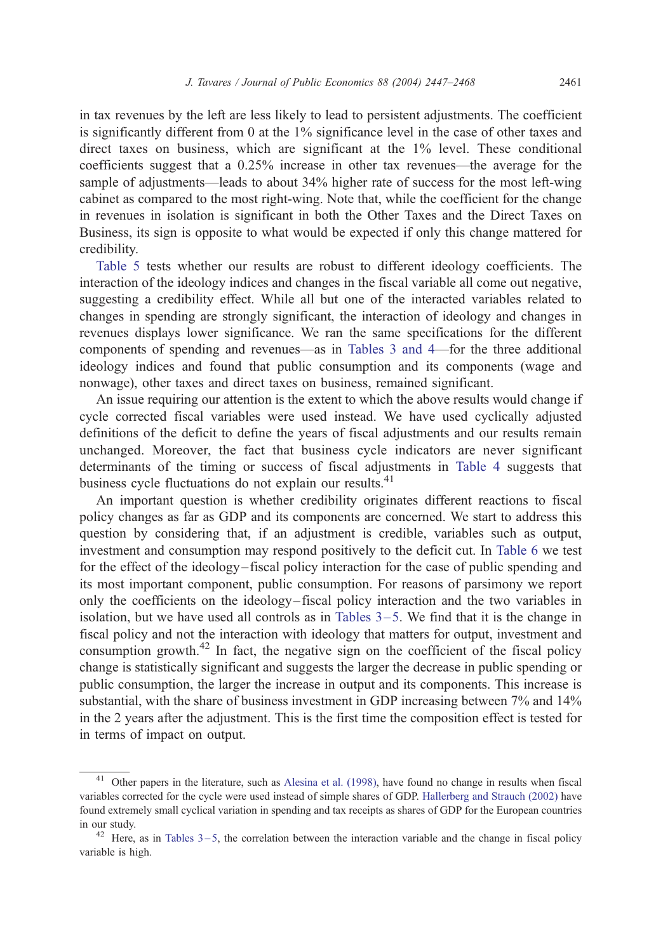in tax revenues by the left are less likely to lead to persistent adjustments. The coefficient is significantly different from 0 at the 1% significance level in the case of other taxes and direct taxes on business, which are significant at the 1% level. These conditional coefficients suggest that a 0.25% increase in other tax revenues—the average for the sample of adjustments—leads to about 34% higher rate of success for the most left-wing cabinet as compared to the most right-wing. Note that, while the coefficient for the change in revenues in isolation is significant in both the Other Taxes and the Direct Taxes on Business, its sign is opposite to what would be expected if only this change mattered for credibility.

[Table 5](#page-15-0) tests whether our results are robust to different ideology coefficients. The interaction of the ideology indices and changes in the fiscal variable all come out negative, suggesting a credibility effect. While all but one of the interacted variables related to changes in spending are strongly significant, the interaction of ideology and changes in revenues displays lower significance. We ran the same specifications for the different components of spending and revenues—as in [Tables 3 and 4—](#page-12-0)for the three additional ideology indices and found that public consumption and its components (wage and nonwage), other taxes and direct taxes on business, remained significant.

An issue requiring our attention is the extent to which the above results would change if cycle corrected fiscal variables were used instead. We have used cyclically adjusted definitions of the deficit to define the years of fiscal adjustments and our results remain unchanged. Moreover, the fact that business cycle indicators are never significant determinants of the timing or success of fiscal adjustments in [Table 4](#page-13-0) suggests that business cycle fluctuations do not explain our results.<sup>41</sup>

An important question is whether credibility originates different reactions to fiscal policy changes as far as GDP and its components are concerned. We start to address this question by considering that, if an adjustment is credible, variables such as output, investment and consumption may respond positively to the deficit cut. In [Table 6](#page-16-0) we test for the effect of the ideology – fiscal policy interaction for the case of public spending and its most important component, public consumption. For reasons of parsimony we report only the coefficients on the ideology– fiscal policy interaction and the two variables in isolation, but we have used all controls as in Tables  $3-5$ . We find that it is the change in fiscal policy and not the interaction with ideology that matters for output, investment and consumption growth.<sup>42</sup> In fact, the negative sign on the coefficient of the fiscal policy change is statistically significant and suggests the larger the decrease in public spending or public consumption, the larger the increase in output and its components. This increase is substantial, with the share of business investment in GDP increasing between 7% and 14% in the 2 years after the adjustment. This is the first time the composition effect is tested for in terms of impact on output.

<sup>41</sup> Other papers in the literature, such as [Alesina et al. \(1998\),](#page-19-0) have found no change in results when fiscal variables corrected for the cycle were used instead of simple shares of GDP. [Hallerberg and Strauch \(2002\)](#page-20-0) have found extremely small cyclical variation in spending and tax receipts as shares of GDP for the European countries in our study.

 $42$  Here, as in Tables  $3-5$ , the correlation between the interaction variable and the change in fiscal policy variable is high.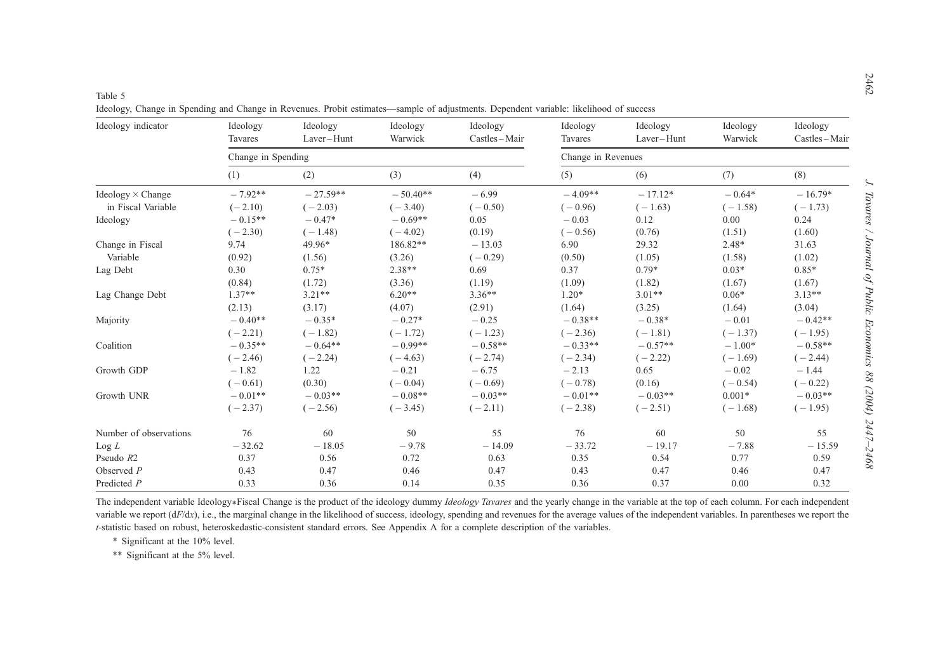J. Tavares / Journal of Public Economics 88 (2004)  $2447-2468$ 

<span id="page-15-0"></span>Table 5Ideology, Change in Spending and Change in Revenues. Probit estimates—sample of adjustments. Dependent variable: likelihood of success

| Ideology indicator       | Ideology<br>Tavares | Ideology<br>Laver-Hunt | Ideology<br>Warwick | Ideology<br>Castles-Mair | Ideology<br>Tavares | Ideology<br>Laver-Hunt | Ideology<br>Warwick | Ideology<br>Castles-Mair |
|--------------------------|---------------------|------------------------|---------------------|--------------------------|---------------------|------------------------|---------------------|--------------------------|
|                          | Change in Spending  |                        |                     |                          | Change in Revenues  |                        |                     |                          |
|                          | (1)                 | (2)                    | (3)                 | (4)                      | (5)                 | (6)                    | (7)                 | (8)                      |
| Ideology $\times$ Change | $-7.92**$           | $-27.59**$             | $-50.40**$          | $-6.99$                  | $-4.09**$           | $-17.12*$              | $-0.64*$            | $-16.79*$                |
| in Fiscal Variable       | $(-2.10)$           | $(-2.03)$              | $(-3.40)$           | $(-0.50)$                | $(-0.96)$           | $(-1.63)$              | $(-1.58)$           | $(-1.73)$                |
| Ideology                 | $-0.15**$           | $-0.47*$               | $-0.69**$           | 0.05                     | $-0.03$             | 0.12                   | 0.00                | 0.24                     |
|                          | $(-2.30)$           | $(-1.48)$              | $(-4.02)$           | (0.19)                   | $(-0.56)$           | (0.76)                 | (1.51)              | (1.60)                   |
| Change in Fiscal         | 9.74                | 49.96*                 | 186.82**            | $-13.03$                 | 6.90                | 29.32                  | $2.48*$             | 31.63                    |
| Variable                 | (0.92)              | (1.56)                 | (3.26)              | $(-0.29)$                | (0.50)              | (1.05)                 | (1.58)              | (1.02)                   |
| Lag Debt                 | 0.30                | $0.75*$                | $2.38**$            | 0.69                     | 0.37                | $0.79*$                | $0.03*$             | $0.85*$                  |
|                          | (0.84)              | (1.72)                 | (3.36)              | (1.19)                   | (1.09)              | (1.82)                 | (1.67)              | (1.67)                   |
| Lag Change Debt          | $1.37**$            | $3.21**$               | $6.20**$            | $3.36**$                 | $1.20*$             | $3.01**$               | $0.06*$             | $3.13**$                 |
|                          | (2.13)              | (3.17)                 | (4.07)              | (2.91)                   | (1.64)              | (3.25)                 | (1.64)              | (3.04)                   |
| Majority                 | $-0.40**$           | $-0.35*$               | $-0.27*$            | $-0.25$                  | $-0.38**$           | $-0.38*$               | $-0.01$             | $-0.42**$                |
|                          | $(-2.21)$           | $(-1.82)$              | $(-1.72)$           | $(-1.23)$                | $(-2.36)$           | $(-1.81)$              | $(-1.37)$           | $(-1.95)$                |
| Coalition                | $-0.35**$           | $-0.64**$              | $-0.99**$           | $-0.58**$                | $-0.33**$           | $-0.57**$              | $-1.00*$            | $-0.58**$                |
|                          | $(-2.46)$           | $(-2.24)$              | $(-4.63)$           | $(-2.74)$                | $(-2.34)$           | $(-2.22)$              | $(-1.69)$           | $(-2.44)$                |
| Growth GDP               | $-1.82$             | 1.22                   | $-0.21$             | $-6.75$                  | $-2.13$             | 0.65                   | $-0.02$             | $-1.44$                  |
|                          | $(-0.61)$           | (0.30)                 | $(-0.04)$           | $(-0.69)$                | $(-0.78)$           | (0.16)                 | $(-0.54)$           | $(-0.22)$                |
| Growth UNR               | $-0.01**$           | $-0.03**$              | $-0.08**$           | $-0.03**$                | $-0.01**$           | $-0.03**$              | $0.001*$            | $-0.03**$                |
|                          | $(-2.37)$           | $(-2.56)$              | $(-3.45)$           | $(-2.11)$                | $(-2.38)$           | $(-2.51)$              | $(-1.68)$           | $(-1.95)$                |
| Number of observations   | 76                  | 60                     | 50                  | 55                       | 76                  | 60                     | 50                  | 55                       |
| Log L                    | $-32.62$            | $-18.05$               | $-9.78$             | $-14.09$                 | $-33.72$            | $-19.17$               | $-7.88$             | $-15.59$                 |
| Pseudo R2                | 0.37                | 0.56                   | 0.72                | 0.63                     | 0.35                | 0.54                   | 0.77                | 0.59                     |
| Observed $P$             | 0.43                | 0.47                   | 0.46                | 0.47                     | 0.43                | 0.47                   | 0.46                | 0.47                     |
| Predicted P              | 0.33                | 0.36                   | 0.14                | 0.35                     | 0.36                | 0.37                   | 0.00                | 0.32                     |

The independent variable Ideology\*Fiscal Change is the product of the ideology dummy Ideology Tavares and the yearly change in the variable at the top of each column. For each independent variable we report (dF/dx), i.e., the marginal change in the likelihood of success, ideology, spending and revenues for the average values of the independent variables. In parentheses we report the <sup>t</sup>-statistic based on robust, heteroskedastic-consistent standard errors. See Appendix A for <sup>a</sup> complete description of the variables.

\* Significant at the 10% level.

\*\* Significant at the 5% level.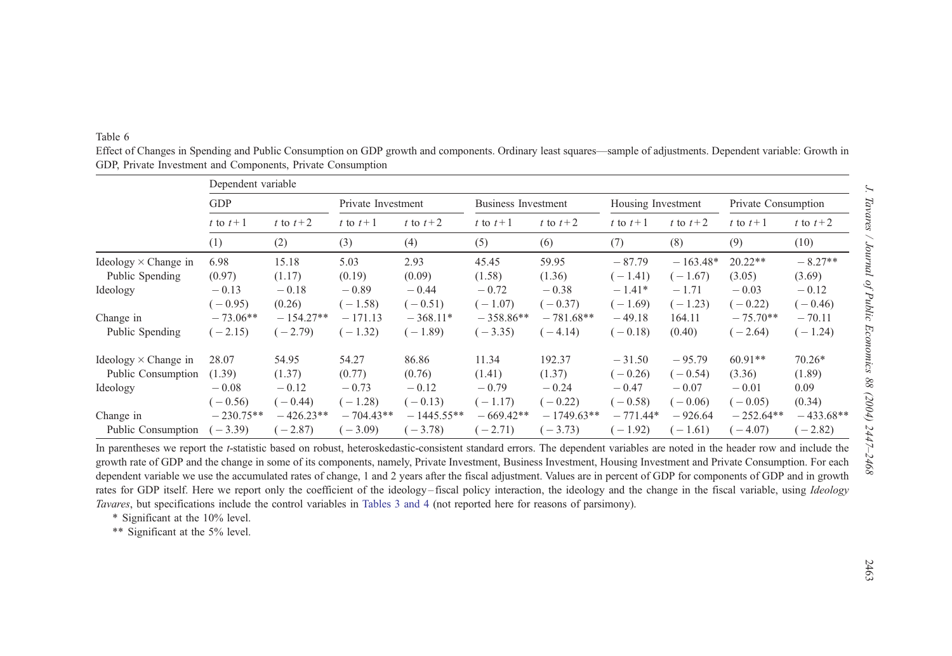#### <span id="page-16-0"></span>Table 6

Effect of Changes in Spending and Public Consumption on GDP growth and components. Ordinary least squares—sample of adjustments. Dependent variable: Growth in GDP, Private Investment and Components, Private Consumption

|                             | Dependent variable       |             |                    |              |                            |              |                    |            |                     |             |
|-----------------------------|--------------------------|-------------|--------------------|--------------|----------------------------|--------------|--------------------|------------|---------------------|-------------|
|                             | <b>GDP</b>               |             | Private Investment |              | <b>Business Investment</b> |              | Housing Investment |            | Private Consumption |             |
|                             | t to $t+2$<br>t to $t+1$ |             | t to $t+1$         | t to $t+2$   | t to $t+1$                 | t to $t+2$   | t to $t+1$         | t to $t+2$ | t to $t+1$          | t to $t+2$  |
|                             | (1)                      | (2)         | (3)                | (4)          | (5)                        | (6)          | (7)                | (8)        | (9)                 | (10)        |
| Ideology $\times$ Change in | 6.98                     | 15.18       | 5.03               | 2.93         | 45.45                      | 59.95        | $-87.79$           | $-163.48*$ | $20.22**$           | $-8.27**$   |
| Public Spending             | (0.97)                   | (1.17)      | (0.19)             | (0.09)       | (1.58)                     | (1.36)       | $(-1.41)$          | $-1.67$    | (3.05)              | (3.69)      |
| Ideology                    | $-0.13$                  | $-0.18$     | $-0.89$            | $-0.44$      | $-0.72$                    | $-0.38$      | $-1.41*$           | $-1.71$    | $-0.03$             | $-0.12$     |
|                             | $(-0.95)$                | (0.26)      | $(-1.58)$          | $(-0.51)$    | $(-1.07)$                  | $(-0.37)$    | $(-1.69)$          | $-1.23$    | $-0.22$             | $(-0.46)$   |
| Change in                   | $-73.06**$               | $-154.27**$ | $-171.13$          | $-368.11*$   | $-358.86**$                | $-781.68**$  | $-49.18$           | 164.11     | $-75.70**$          | $-70.11$    |
| Public Spending             | $(-2.15)$                | $(-2.79)$   | $-1.32$            | $(-1.89)$    | $(-3.35)$                  | $-4.14$      | $(-0.18)$          | (0.40)     | $-2.64$             | $(-1.24)$   |
| Ideology $\times$ Change in | 28.07                    | 54.95       | 54.27              | 86.86        | 11.34                      | 192.37       | $-31.50$           | $-95.79$   | $60.91**$           | $70.26*$    |
| Public Consumption          | (1.39)                   | (1.37)      | (0.77)             | (0.76)       | (1.41)                     | (1.37)       | $(-0.26)$          | $-0.54$    | (3.36)              | (1.89)      |
| Ideology                    | $-0.08$                  | $-0.12$     | $-0.73$            | $-0.12$      | $-0.79$                    | $-0.24$      | $-0.47$            | $-0.07$    | $-0.01$             | 0.09        |
|                             | $(-0.56)$                | $-0.44$     | $(-1.28)$          | $(-0.13)$    | $(-1.17)$                  | $-0.22$      | $(-0.58)$          | $-0.06$    | $(-0.05)$           | (0.34)      |
| Change in                   | $-230.75**$              | $-426.23**$ | $-704.43**$        | $-1445.55**$ | $-669.42**$                | $-1749.63**$ | $-771.44*$         | $-926.64$  | $-252.64**$         | $-433.68**$ |
| Public Consumption          | $(-3.39)$                | $-2.87$     | $-3.09$            | $-3.78$      | $(-2.71)$                  | $-3.73$      | $(-1.92)$          | $-1.61$    | $-4.07$             | $-2.82$     |

In parentheses we report the t-statistic based on robust, heteroskedastic-consistent standard errors. The dependent variables are noted in the header row and include the growth rate of GDP and the change in some of its components, namely, Private Investment, Business Investment, Housing Investment and Private Consumption. For each dependent variable we use the accumulated rates of change, 1 and 2 years after the fiscal adjustment. Values are in percent of GDP for components of GDP and in growth rates for GDP itself. Here we report only the coefficient of the ideology–fiscal policy interaction, the ideology and the change in the fiscal variable, using Ideology Tavares, but specifications include the control variables in Tables 3 and 4 (not [reported](#page-12-0) here for reasons of parsimony).

\* Significant at the 10% level.

\*\* Significant at the 5% level.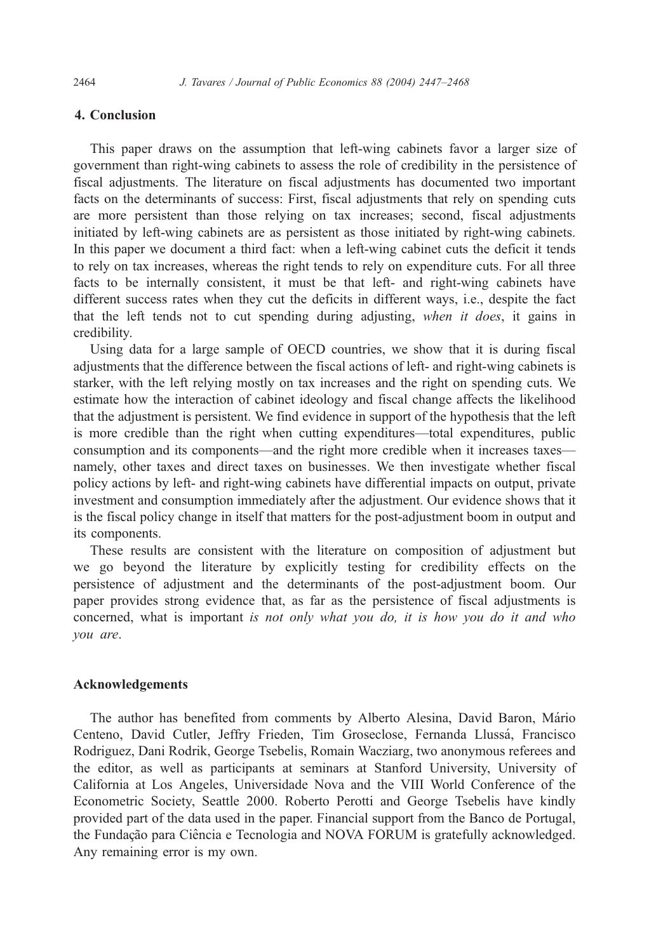# 4. Conclusion

This paper draws on the assumption that left-wing cabinets favor a larger size of government than right-wing cabinets to assess the role of credibility in the persistence of fiscal adjustments. The literature on fiscal adjustments has documented two important facts on the determinants of success: First, fiscal adjustments that rely on spending cuts are more persistent than those relying on tax increases; second, fiscal adjustments initiated by left-wing cabinets are as persistent as those initiated by right-wing cabinets. In this paper we document a third fact: when a left-wing cabinet cuts the deficit it tends to rely on tax increases, whereas the right tends to rely on expenditure cuts. For all three facts to be internally consistent, it must be that left- and right-wing cabinets have different success rates when they cut the deficits in different ways, i.e., despite the fact that the left tends not to cut spending during adjusting, when it does, it gains in credibility.

Using data for a large sample of OECD countries, we show that it is during fiscal adjustments that the difference between the fiscal actions of left- and right-wing cabinets is starker, with the left relying mostly on tax increases and the right on spending cuts. We estimate how the interaction of cabinet ideology and fiscal change affects the likelihood that the adjustment is persistent. We find evidence in support of the hypothesis that the left is more credible than the right when cutting expenditures—total expenditures, public consumption and its components—and the right more credible when it increases taxes namely, other taxes and direct taxes on businesses. We then investigate whether fiscal policy actions by left- and right-wing cabinets have differential impacts on output, private investment and consumption immediately after the adjustment. Our evidence shows that it is the fiscal policy change in itself that matters for the post-adjustment boom in output and its components.

These results are consistent with the literature on composition of adjustment but we go beyond the literature by explicitly testing for credibility effects on the persistence of adjustment and the determinants of the post-adjustment boom. Our paper provides strong evidence that, as far as the persistence of fiscal adjustments is concerned, what is important is not only what you do, it is how you do it and who you are.

# Acknowledgements

The author has benefited from comments by Alberto Alesina, David Baron, Mário Centeno, David Cutler, Jeffry Frieden, Tim Groseclose, Fernanda Llussá, Francisco Rodriguez, Dani Rodrik, George Tsebelis, Romain Wacziarg, two anonymous referees and the editor, as well as participants at seminars at Stanford University, University of California at Los Angeles, Universidade Nova and the VIII World Conference of the Econometric Society, Seattle 2000. Roberto Perotti and George Tsebelis have kindly provided part of the data used in the paper. Financial support from the Banco de Portugal, the Fundação para Ciência e Tecnologia and NOVA FORUM is gratefully acknowledged. Any remaining error is my own.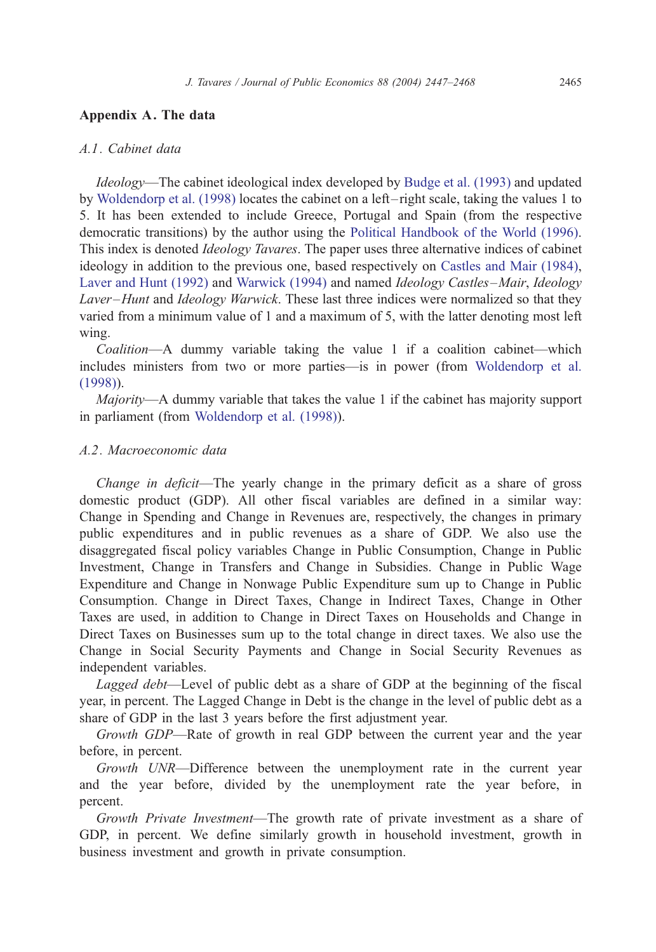# Appendix A. The data

## A.1. Cabinet data

Ideology—The cabinet ideological index developed by [Budge et al. \(1993\)](#page-19-0) and updated by [Woldendorp et al. \(1998\)](#page-21-0) locates the cabinet on a left – right scale, taking the values 1 to 5. It has been extended to include Greece, Portugal and Spain (from the respective democratic transitions) by the author using the [Political Handbook of the World \(1996\).](#page-20-0) This index is denoted *Ideology Tavares*. The paper uses three alternative indices of cabinet ideology in addition to the previous one, based respectively on [Castles and Mair \(1984\),](#page-19-0) [Laver and Hunt \(1992\)](#page-20-0) and [Warwick \(1994\)](#page-21-0) and named Ideology Castles –Mair, Ideology Laver-Hunt and Ideology Warwick. These last three indices were normalized so that they varied from a minimum value of 1 and a maximum of 5, with the latter denoting most left wing.

Coalition—A dummy variable taking the value 1 if a coalition cabinet—which includes ministers from two or more parties—is in power (from [Woldendorp et al.](#page-21-0) (1998)).

Majority—A dummy variable that takes the value 1 if the cabinet has majority support in parliament (from [Woldendorp et al. \(1998\)\)](#page-21-0).

# A.2. Macroeconomic data

Change in deficit—The yearly change in the primary deficit as a share of gross domestic product (GDP). All other fiscal variables are defined in a similar way: Change in Spending and Change in Revenues are, respectively, the changes in primary public expenditures and in public revenues as a share of GDP. We also use the disaggregated fiscal policy variables Change in Public Consumption, Change in Public Investment, Change in Transfers and Change in Subsidies. Change in Public Wage Expenditure and Change in Nonwage Public Expenditure sum up to Change in Public Consumption. Change in Direct Taxes, Change in Indirect Taxes, Change in Other Taxes are used, in addition to Change in Direct Taxes on Households and Change in Direct Taxes on Businesses sum up to the total change in direct taxes. We also use the Change in Social Security Payments and Change in Social Security Revenues as independent variables.

Lagged debt—Level of public debt as a share of GDP at the beginning of the fiscal year, in percent. The Lagged Change in Debt is the change in the level of public debt as a share of GDP in the last 3 years before the first adjustment year.

Growth GDP—Rate of growth in real GDP between the current year and the year before, in percent.

Growth UNR—Difference between the unemployment rate in the current year and the year before, divided by the unemployment rate the year before, in percent.

Growth Private Investment—The growth rate of private investment as a share of GDP, in percent. We define similarly growth in household investment, growth in business investment and growth in private consumption.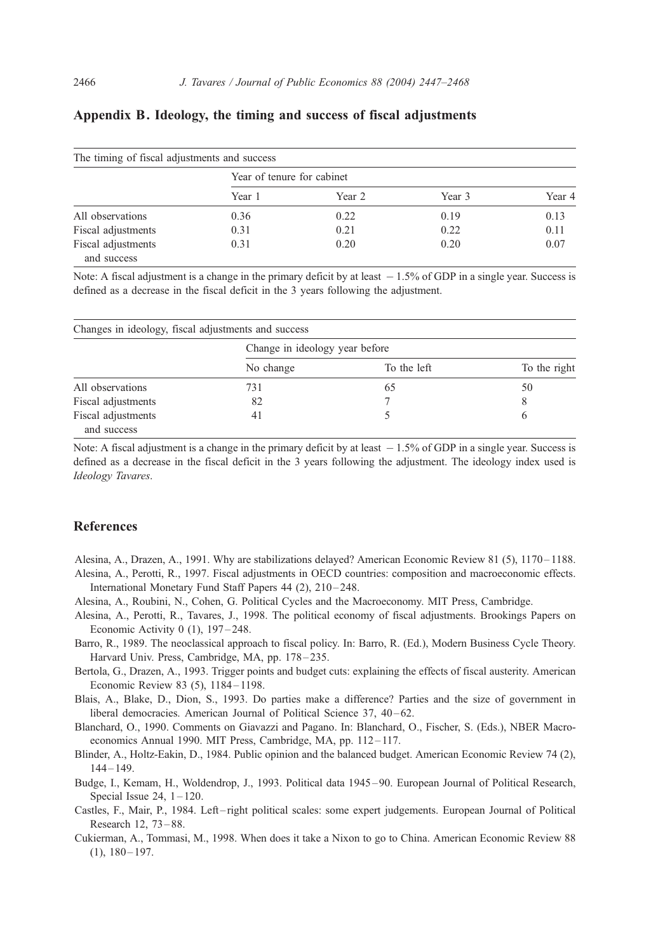| The timing of fiscal adjustments and success |                            |        |        |        |  |  |  |
|----------------------------------------------|----------------------------|--------|--------|--------|--|--|--|
|                                              | Year of tenure for cabinet |        |        |        |  |  |  |
|                                              | Year 1                     | Year 2 | Year 3 | Year 4 |  |  |  |
| All observations                             | 0.36                       | 0.22   | 0.19   | 0.13   |  |  |  |
| Fiscal adjustments                           | 0.31                       | 0.21   | 0.22   | 0.11   |  |  |  |
| Fiscal adjustments<br>and success            | 0.31                       | 0.20   | 0.20   | 0.07   |  |  |  |

# <span id="page-19-0"></span>Appendix B. Ideology, the timing and success of fiscal adjustments

Note: A fiscal adjustment is a change in the primary deficit by at least  $-1.5\%$  of GDP in a single year. Success is defined as a decrease in the fiscal deficit in the 3 years following the adjustment.

| Changes in ideology, fiscal adjustments and success |                                |             |              |  |  |  |
|-----------------------------------------------------|--------------------------------|-------------|--------------|--|--|--|
|                                                     | Change in ideology year before |             |              |  |  |  |
|                                                     | No change                      | To the left | To the right |  |  |  |
| All observations                                    | 731                            | 65          | 50           |  |  |  |
| Fiscal adjustments                                  | 82                             |             |              |  |  |  |
| Fiscal adjustments<br>and success                   | 41                             |             | <sub>(</sub> |  |  |  |

Note: A fiscal adjustment is a change in the primary deficit by at least  $-1.5\%$  of GDP in a single year. Success is defined as a decrease in the fiscal deficit in the 3 years following the adjustment. The ideology index used is Ideology Tavares.

# References

- Alesina, A., Drazen, A., 1991. Why are stabilizations delayed? American Economic Review 81 (5), 1170 1188.
- Alesina, A., Perotti, R., 1997. Fiscal adjustments in OECD countries: composition and macroeconomic effects. International Monetary Fund Staff Papers 44 (2), 210-248.
- Alesina, A., Roubini, N., Cohen, G. Political Cycles and the Macroeconomy. MIT Press, Cambridge.
- Alesina, A., Perotti, R., Tavares, J., 1998. The political economy of fiscal adjustments. Brookings Papers on Economic Activity  $0$  (1),  $197 - 248$ .
- Barro, R., 1989. The neoclassical approach to fiscal policy. In: Barro, R. (Ed.), Modern Business Cycle Theory. Harvard Univ. Press, Cambridge, MA, pp. 178-235.
- Bertola, G., Drazen, A., 1993. Trigger points and budget cuts: explaining the effects of fiscal austerity. American Economic Review 83 (5), 1184 – 1198.
- Blais, A., Blake, D., Dion, S., 1993. Do parties make a difference? Parties and the size of government in liberal democracies. American Journal of Political Science 37, 40–62.

Blanchard, O., 1990. Comments on Giavazzi and Pagano. In: Blanchard, O., Fischer, S. (Eds.), NBER Macroeconomics Annual 1990. MIT Press, Cambridge, MA, pp. 112-117.

Blinder, A., Holtz-Eakin, D., 1984. Public opinion and the balanced budget. American Economic Review 74 (2),  $144 - 149.$ 

Budge, I., Kemam, H., Woldendrop, J., 1993. Political data 1945 – 90. European Journal of Political Research, Special Issue 24,  $1 - 120$ .

- Castles, F., Mair, P., 1984. Left right political scales: some expert judgements. European Journal of Political Research 12, 73 – 88.
- Cukierman, A., Tommasi, M., 1998. When does it take a Nixon to go to China. American Economic Review 88  $(1), 180 - 197.$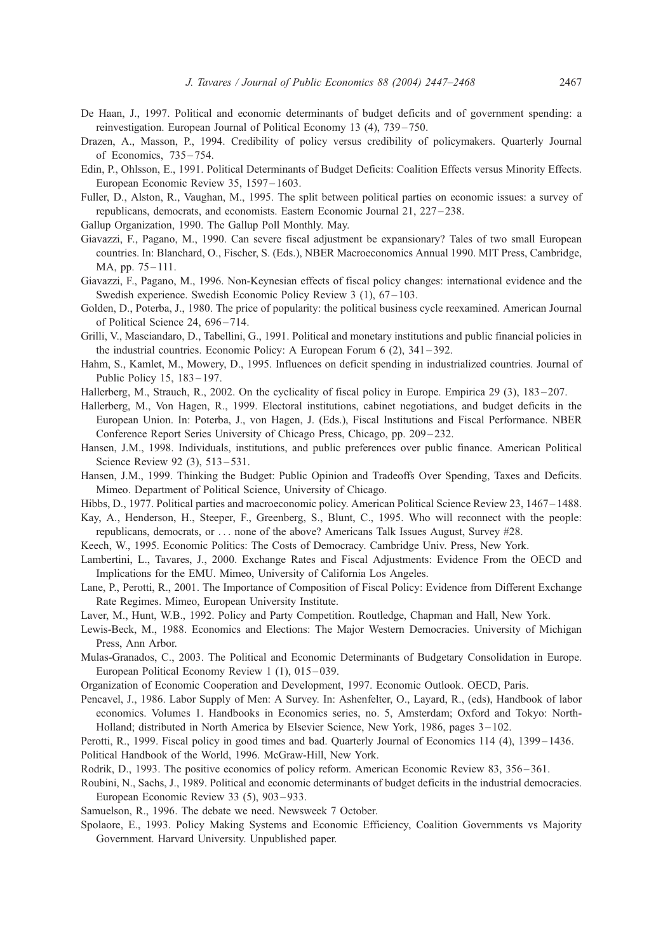- <span id="page-20-0"></span>De Haan, J., 1997. Political and economic determinants of budget deficits and of government spending: a reinvestigation. European Journal of Political Economy 13 (4), 739 – 750.
- Drazen, A., Masson, P., 1994. Credibility of policy versus credibility of policymakers. Quarterly Journal of Economics, 735 – 754.
- Edin, P., Ohlsson, E., 1991. Political Determinants of Budget Deficits: Coalition Effects versus Minority Effects. European Economic Review 35, 1597 – 1603.
- Fuller, D., Alston, R., Vaughan, M., 1995. The split between political parties on economic issues: a survey of republicans, democrats, and economists. Eastern Economic Journal 21, 227 – 238.
- Gallup Organization, 1990. The Gallup Poll Monthly. May.
- Giavazzi, F., Pagano, M., 1990. Can severe fiscal adjustment be expansionary? Tales of two small European countries. In: Blanchard, O., Fischer, S. (Eds.), NBER Macroeconomics Annual 1990. MIT Press, Cambridge, MA, pp. 75 – 111.
- Giavazzi, F., Pagano, M., 1996. Non-Keynesian effects of fiscal policy changes: international evidence and the Swedish experience. Swedish Economic Policy Review 3 (1), 67–103.
- Golden, D., Poterba, J., 1980. The price of popularity: the political business cycle reexamined. American Journal of Political Science 24, 696-714.
- Grilli, V., Masciandaro, D., Tabellini, G., 1991. Political and monetary institutions and public financial policies in the industrial countries. Economic Policy: A European Forum 6 (2), 341 – 392.
- Hahm, S., Kamlet, M., Mowery, D., 1995. Influences on deficit spending in industrialized countries. Journal of Public Policy 15, 183 – 197.
- Hallerberg, M., Strauch, R., 2002. On the cyclicality of fiscal policy in Europe. Empirica 29 (3), 183 207.
- Hallerberg, M., Von Hagen, R., 1999. Electoral institutions, cabinet negotiations, and budget deficits in the European Union. In: Poterba, J., von Hagen, J. (Eds.), Fiscal Institutions and Fiscal Performance. NBER Conference Report Series University of Chicago Press, Chicago, pp. 209–232.
- Hansen, J.M., 1998. Individuals, institutions, and public preferences over public finance. American Political Science Review 92 (3), 513-531.
- Hansen, J.M., 1999. Thinking the Budget: Public Opinion and Tradeoffs Over Spending, Taxes and Deficits. Mimeo. Department of Political Science, University of Chicago.

Hibbs, D., 1977. Political parties and macroeconomic policy. American Political Science Review 23, 1467 – 1488.

- Kay, A., Henderson, H., Steeper, F., Greenberg, S., Blunt, C., 1995. Who will reconnect with the people: republicans, democrats, or ... none of the above? Americans Talk Issues August, Survey #28.
- Keech, W., 1995. Economic Politics: The Costs of Democracy. Cambridge Univ. Press, New York.
- Lambertini, L., Tavares, J., 2000. Exchange Rates and Fiscal Adjustments: Evidence From the OECD and Implications for the EMU. Mimeo, University of California Los Angeles.
- Lane, P., Perotti, R., 2001. The Importance of Composition of Fiscal Policy: Evidence from Different Exchange Rate Regimes. Mimeo, European University Institute.
- Laver, M., Hunt, W.B., 1992. Policy and Party Competition. Routledge, Chapman and Hall, New York.
- Lewis-Beck, M., 1988. Economics and Elections: The Major Western Democracies. University of Michigan Press, Ann Arbor.
- Mulas-Granados, C., 2003. The Political and Economic Determinants of Budgetary Consolidation in Europe. European Political Economy Review 1 (1), 015–039.
- Organization of Economic Cooperation and Development, 1997. Economic Outlook. OECD, Paris.
- Pencavel, J., 1986. Labor Supply of Men: A Survey. In: Ashenfelter, O., Layard, R., (eds), Handbook of labor economics. Volumes 1. Handbooks in Economics series, no. 5, Amsterdam; Oxford and Tokyo: North-Holland; distributed in North America by Elsevier Science, New York, 1986, pages 3 – 102.
- Perotti, R., 1999. Fiscal policy in good times and bad. Quarterly Journal of Economics 114 (4), 1399–1436.
- Political Handbook of the World, 1996. McGraw-Hill, New York.
- Rodrik, D., 1993. The positive economics of policy reform. American Economic Review 83, 356 361.
- Roubini, N., Sachs, J., 1989. Political and economic determinants of budget deficits in the industrial democracies. European Economic Review 33 (5), 903 – 933.
- Samuelson, R., 1996. The debate we need. Newsweek 7 October.
- Spolaore, E., 1993. Policy Making Systems and Economic Efficiency, Coalition Governments vs Majority Government. Harvard University. Unpublished paper.